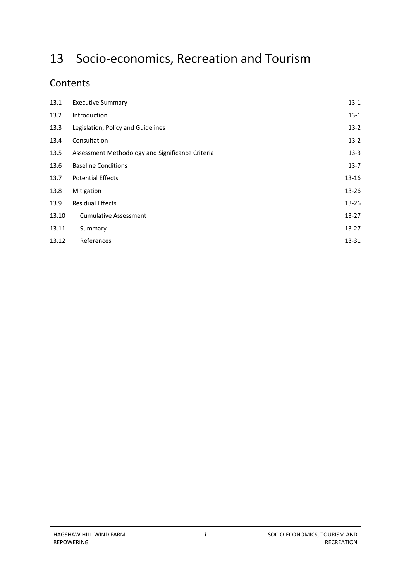# 13 Socio-economics, Recreation and Tourism

## **Contents**

| 13.1  | <b>Executive Summary</b>                         | $13-1$    |
|-------|--------------------------------------------------|-----------|
| 13.2  | Introduction                                     | $13-1$    |
| 13.3  | Legislation, Policy and Guidelines               | $13-2$    |
| 13.4  | Consultation                                     | $13-2$    |
| 13.5  | Assessment Methodology and Significance Criteria | $13-3$    |
| 13.6  | <b>Baseline Conditions</b>                       | $13-7$    |
| 13.7  | <b>Potential Effects</b>                         | 13-16     |
| 13.8  | Mitigation                                       | $13 - 26$ |
| 13.9  | <b>Residual Effects</b>                          | $13 - 26$ |
| 13.10 | <b>Cumulative Assessment</b>                     | $13 - 27$ |
| 13.11 | Summary                                          | $13 - 27$ |
| 13.12 | References                                       | 13-31     |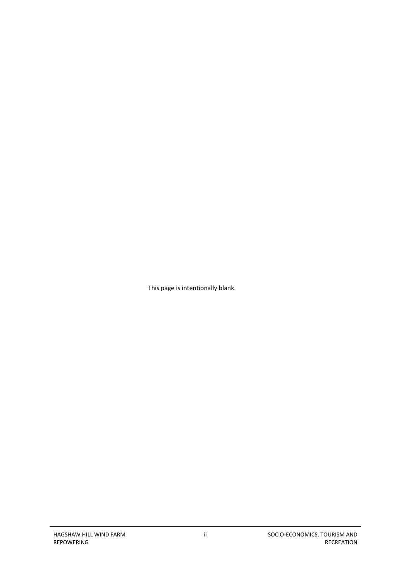This page is intentionally blank.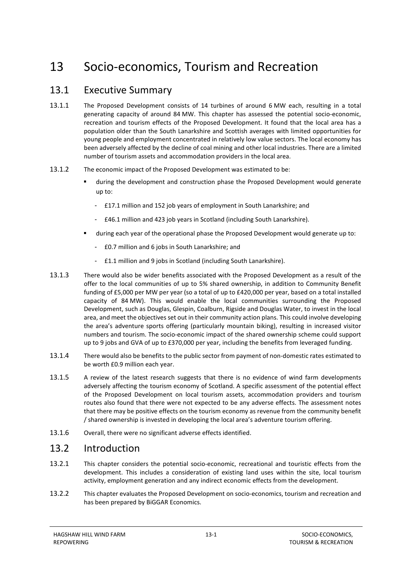# 13 Socio-economics, Tourism and Recreation

## <span id="page-2-0"></span>13.1 Executive Summary

- 13.1.1 The Proposed Development consists of 14 turbines of around 6 MW each, resulting in a total generating capacity of around 84 MW. This chapter has assessed the potential socio-economic, recreation and tourism effects of the Proposed Development. It found that the local area has a population older than the South Lanarkshire and Scottish averages with limited opportunities for young people and employment concentrated in relatively low value sectors. The local economy has been adversely affected by the decline of coal mining and other local industries. There are a limited number of tourism assets and accommodation providers in the local area.
- 13.1.2 The economic impact of the Proposed Development was estimated to be:
	- during the development and construction phase the Proposed Development would generate up to:
		- £17.1 million and 152 job years of employment in South Lanarkshire; and
		- £46.1 million and 423 job years in Scotland (including South Lanarkshire).
	- during each year of the operational phase the Proposed Development would generate up to:
		- £0.7 million and 6 jobs in South Lanarkshire; and
		- £1.1 million and 9 jobs in Scotland (including South Lanarkshire).
- 13.1.3 There would also be wider benefits associated with the Proposed Development as a result of the offer to the local communities of up to 5% shared ownership, in addition to Community Benefit funding of £5,000 per MW per year (so a total of up to £420,000 per year, based on a total installed capacity of 84 MW). This would enable the local communities surrounding the Proposed Development, such as Douglas, Glespin, Coalburn, Rigside and Douglas Water, to invest in the local area, and meet the objectives set out in their community action plans. This could involve developing the area's adventure sports offering (particularly mountain biking), resulting in increased visitor numbers and tourism. The socio-economic impact of the shared ownership scheme could support up to 9 jobs and GVA of up to £370,000 per year, including the benefits from leveraged funding.
- 13.1.4 There would also be benefits to the public sector from payment of non-domestic rates estimated to be worth £0.9 million each year.
- 13.1.5 A review of the latest research suggests that there is no evidence of wind farm developments adversely affecting the tourism economy of Scotland. A specific assessment of the potential effect of the Proposed Development on local tourism assets, accommodation providers and tourism routes also found that there were not expected to be any adverse effects. The assessment notes that there may be positive effects on the tourism economy as revenue from the community benefit / shared ownership is invested in developing the local area's adventure tourism offering.
- 13.1.6 Overall, there were no significant adverse effects identified.

### <span id="page-2-1"></span>13.2 Introduction

- 13.2.1 This chapter considers the potential socio-economic, recreational and touristic effects from the development. This includes a consideration of existing land uses within the site, local tourism activity, employment generation and any indirect economic effects from the development.
- 13.2.2 This chapter evaluates the Proposed Development on socio-economics, tourism and recreation and has been prepared by BiGGAR Economics.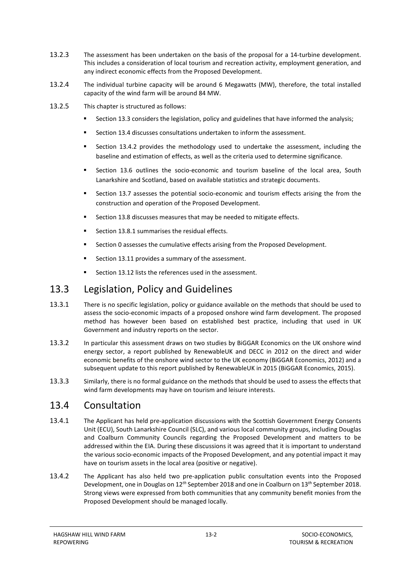- 13.2.3 The assessment has been undertaken on the basis of the proposal for a 14-turbine development. This includes a consideration of local tourism and recreation activity, employment generation, and any indirect economic effects from the Proposed Development.
- 13.2.4 The individual turbine capacity will be around 6 Megawatts (MW), therefore, the total installed capacity of the wind farm will be around 84 MW.
- 13.2.5 This chapter is structured as follows:
	- Section [13.3](#page-3-0) considers the legislation, policy and guidelines that have informed the analysis;
	- Section [13.4](#page-3-1) discusses consultations undertaken to inform the assessment.
	- Section [13.4.2](#page-3-2) provides the methodology used to undertake the assessment, including the baseline and estimation of effects, as well as the criteria used to determine significance.
	- Section [13.6](#page-8-0) outlines the socio-economic and tourism baseline of the local area, South Lanarkshire and Scotland, based on available statistics and strategic documents.
	- Section [13.7](#page-17-0) assesses the potential socio-economic and tourism effects arising the from the construction and operation of the Proposed Development.
	- Section [13.8](#page-27-0) discusses measures that may be needed to mitigate effects.
	- Section [13.8.1](#page-27-2) summarises the residual effects.
	- **Section [0](#page-27-3) assesses the cumulative effects arising from the Proposed Development.**
	- **EXECTION [13.11](#page-28-1) provides a summary of the assessment.**
	- Section [13.12](#page-32-0) lists the references used in the assessment.

## <span id="page-3-0"></span>13.3 Legislation, Policy and Guidelines

- 13.3.1 There is no specific legislation, policy or guidance available on the methods that should be used to assess the socio-economic impacts of a proposed onshore wind farm development. The proposed method has however been based on established best practice, including that used in UK Government and industry reports on the sector.
- 13.3.2 In particular this assessment draws on two studies by BiGGAR Economics on the UK onshore wind energy sector, a report published by RenewableUK and DECC in 2012 on the direct and wider economic benefits of the onshore wind sector to the UK economy (BiGGAR Economics, 2012) and a subsequent update to this report published by RenewableUK in 2015 (BiGGAR Economics, 2015).
- 13.3.3 Similarly, there is no formal guidance on the methods that should be used to assess the effects that wind farm developments may have on tourism and leisure interests.

### <span id="page-3-1"></span>13.4 Consultation

- 13.4.1 The Applicant has held pre-application discussions with the Scottish Government Energy Consents Unit (ECU), South Lanarkshire Council (SLC), and various local community groups, including Douglas and Coalburn Community Councils regarding the Proposed Development and matters to be addressed within the EIA. During these discussions it was agreed that it is important to understand the various socio-economic impacts of the Proposed Development, and any potential impact it may have on tourism assets in the local area (positive or negative).
- <span id="page-3-2"></span>13.4.2 The Applicant has also held two pre-application public consultation events into the Proposed Development, one in Douglas on 12*th* September 2018 and one in Coalburn on 13*th* September 2018. Strong views were expressed from both communities that any community benefit monies from the Proposed Development should be managed locally.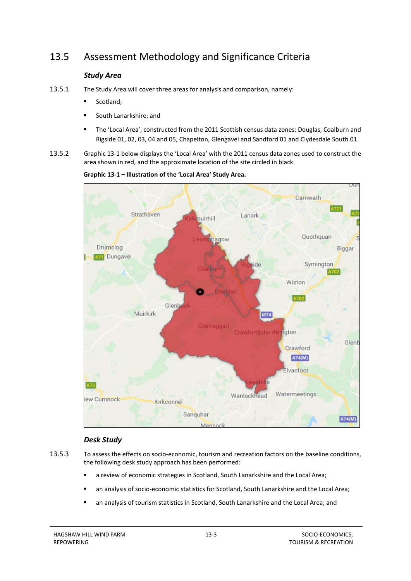## <span id="page-4-0"></span>13.5 Assessment Methodology and Significance Criteria

### *Study Area*

- 13.5.1 The Study Area will cover three areas for analysis and comparison, namely:
	- **Scotland:**
	- South Lanarkshire; and
	- The 'Local Area', constructed from the 2011 Scottish census data zones: Douglas, Coalburn and Rigside 01, 02, 03, 04 and 05, Chapelton, Glengavel and Sandford 01 and Clydesdale South 01.
- <span id="page-4-1"></span>13.5.2 [Graphic 13-1](#page-4-1) below displays the 'Local Area' with the 2011 census data zones used to construct the area shown in red, and the approximate location of the site circled in black.

Carnwath Strathaven Lanark nuirhill Quothquan ahagow Drumclog Biggar **Avail** Dungavel Symington ide **Ilburn** Wiston Glenb Muirkirk M74 Glentaggart ngton Crawfordjohn Ab Crawford A74(M) **Elvanfoot** 

**Graphic 13-1 – Illustration of the 'Local Area' Study Area.**

#### *Desk Study*

ew Cumnock

v

13.5.3 To assess the effects on socio-economic, tourism and recreation factors on the baseline conditions, the following desk study approach has been performed:

Sanguhar

Kirkconnel

- a review of economic strategies in Scotland, South Lanarkshire and the Local Area;
- an analysis of socio-economic statistics for Scotland, South Lanarkshire and the Local Area;
- an analysis of tourism statistics in Scotland, South Lanarkshire and the Local Area; and

Watermeetings

Wanlockhead

Glenb

A74(M)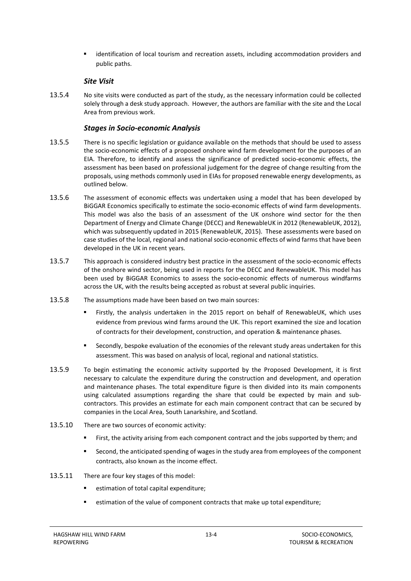identification of local tourism and recreation assets, including accommodation providers and public paths.

#### *Site Visit*

13.5.4 No site visits were conducted as part of the study, as the necessary information could be collected solely through a desk study approach. However, the authors are familiar with the site and the Local Area from previous work.

#### *Stages in Socio-economic Analysis*

- 13.5.5 There is no specific legislation or guidance available on the methods that should be used to assess the socio-economic effects of a proposed onshore wind farm development for the purposes of an EIA. Therefore, to identify and assess the significance of predicted socio-economic effects, the assessment has been based on professional judgement for the degree of change resulting from the proposals, using methods commonly used in EIAs for proposed renewable energy developments, as outlined below.
- 13.5.6 The assessment of economic effects was undertaken using a model that has been developed by BiGGAR Economics specifically to estimate the socio-economic effects of wind farm developments. This model was also the basis of an assessment of the UK onshore wind sector for the then Department of Energy and Climate Change (DECC) and RenewableUK in 2012 (RenewableUK, 2012), which was subsequently updated in 2015 (RenewableUK, 2015). These assessments were based on case studies of the local, regional and national socio-economic effects of wind farms that have been developed in the UK in recent years.
- 13.5.7 This approach is considered industry best practice in the assessment of the socio-economic effects of the onshore wind sector, being used in reports for the DECC and RenewableUK. This model has been used by BiGGAR Economics to assess the socio-economic effects of numerous windfarms across the UK, with the results being accepted as robust at several public inquiries.
- 13.5.8 The assumptions made have been based on two main sources:
	- Firstly, the analysis undertaken in the 2015 report on behalf of RenewableUK, which uses evidence from previous wind farms around the UK. This report examined the size and location of contracts for their development, construction, and operation & maintenance phases.
	- Secondly, bespoke evaluation of the economies of the relevant study areas undertaken for this assessment. This was based on analysis of local, regional and national statistics.
- 13.5.9 To begin estimating the economic activity supported by the Proposed Development, it is first necessary to calculate the expenditure during the construction and development, and operation and maintenance phases. The total expenditure figure is then divided into its main components using calculated assumptions regarding the share that could be expected by main and subcontractors. This provides an estimate for each main component contract that can be secured by companies in the Local Area, South Lanarkshire, and Scotland.
- 13.5.10 There are two sources of economic activity:
	- First, the activity arising from each component contract and the jobs supported by them; and
	- Second, the anticipated spending of wages in the study area from employees of the component contracts, also known as the income effect.
- 13.5.11 There are four key stages of this model:
	- estimation of total capital expenditure;
	- estimation of the value of component contracts that make up total expenditure;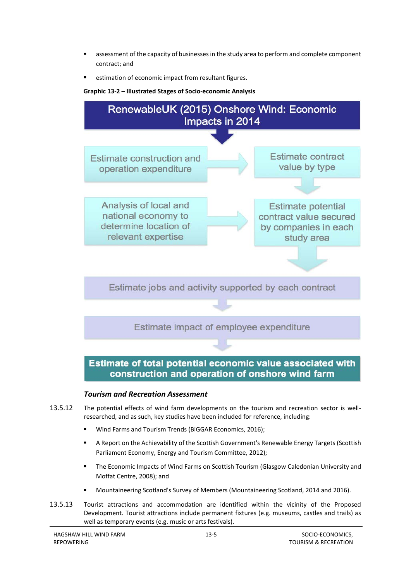- assessment of the capacity of businesses in the study area to perform and complete component contract; and
- estimation of economic impact from resultant figures.



#### **Graphic 13-2 – Illustrated Stages of Socio-economic Analysis**

Estimate of total potential economic value associated with construction and operation of onshore wind farm

#### *Tourism and Recreation Assessment*

- 13.5.12 The potential effects of wind farm developments on the tourism and recreation sector is wellresearched, and as such, key studies have been included for reference, including:
	- Wind Farms and Tourism Trends (BiGGAR Economics, 2016);
	- A Report on the Achievability of the Scottish Government's Renewable Energy Targets (Scottish Parliament Economy, Energy and Tourism Committee, 2012);
	- The Economic Impacts of Wind Farms on Scottish Tourism (Glasgow Caledonian University and Moffat Centre, 2008); and
	- Mountaineering Scotland's Survey of Members (Mountaineering Scotland, 2014 and 2016).
- 13.5.13 Tourist attractions and accommodation are identified within the vicinity of the Proposed Development. Tourist attractions include permanent fixtures (e.g. museums, castles and trails) as well as temporary events (e.g. music or arts festivals).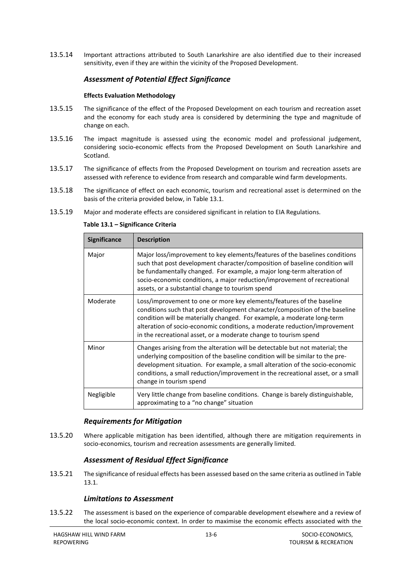13.5.14 Important attractions attributed to South Lanarkshire are also identified due to their increased sensitivity, even if they are within the vicinity of the Proposed Development.

### *Assessment of Potential Effect Significance*

#### **Effects Evaluation Methodology**

- 13.5.15 The significance of the effect of the Proposed Development on each tourism and recreation asset and the economy for each study area is considered by determining the type and magnitude of change on each.
- 13.5.16 The impact magnitude is assessed using the economic model and professional judgement, considering socio-economic effects from the Proposed Development on South Lanarkshire and Scotland.
- 13.5.17 The significance of effects from the Proposed Development on tourism and recreation assets are assessed with reference to evidence from research and comparable wind farm developments.
- 13.5.18 The significance of effect on each economic, tourism and recreational asset is determined on the basis of the criteria provided below, in [Table 13.1.](#page-7-0)
- <span id="page-7-0"></span>13.5.19 Major and moderate effects are considered significant in relation to EIA Regulations.

| <b>Significance</b> | <b>Description</b>                                                                                                                                                                                                                                                                                                                                                               |
|---------------------|----------------------------------------------------------------------------------------------------------------------------------------------------------------------------------------------------------------------------------------------------------------------------------------------------------------------------------------------------------------------------------|
| Major               | Major loss/improvement to key elements/features of the baselines conditions<br>such that post development character/composition of baseline condition will<br>be fundamentally changed. For example, a major long-term alteration of<br>socio-economic conditions, a major reduction/improvement of recreational<br>assets, or a substantial change to tourism spend             |
| Moderate            | Loss/improvement to one or more key elements/features of the baseline<br>conditions such that post development character/composition of the baseline<br>condition will be materially changed. For example, a moderate long-term<br>alteration of socio-economic conditions, a moderate reduction/improvement<br>in the recreational asset, or a moderate change to tourism spend |
| Minor               | Changes arising from the alteration will be detectable but not material; the<br>underlying composition of the baseline condition will be similar to the pre-<br>development situation. For example, a small alteration of the socio-economic<br>conditions, a small reduction/improvement in the recreational asset, or a small<br>change in tourism spend                       |
| Negligible          | Very little change from baseline conditions. Change is barely distinguishable,<br>approximating to a "no change" situation                                                                                                                                                                                                                                                       |

**Table 13.1 – Significance Criteria**

### *Requirements for Mitigation*

13.5.20 Where applicable mitigation has been identified, although there are mitigation requirements in socio-economics, tourism and recreation assessments are generally limited.

### *Assessment of Residual Effect Significance*

13.5.21 The significance of residual effects has been assessed based on the same criteria as outlined in [Table](#page-7-0)  [13.1.](#page-7-0)

### *Limitations to Assessment*

13.5.22 The assessment is based on the experience of comparable development elsewhere and a review of the local socio-economic context. In order to maximise the economic effects associated with the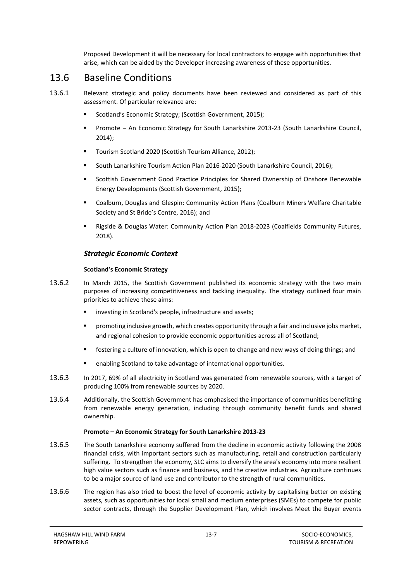Proposed Development it will be necessary for local contractors to engage with opportunities that arise, which can be aided by the Developer increasing awareness of these opportunities.

## <span id="page-8-0"></span>13.6 Baseline Conditions

- 13.6.1 Relevant strategic and policy documents have been reviewed and considered as part of this assessment. Of particular relevance are:
	- Scotland's Economic Strategy; (Scottish Government, 2015);
	- Promote An Economic Strategy for South Lanarkshire 2013-23 (South Lanarkshire Council, 2014);
	- Tourism Scotland 2020 (Scottish Tourism Alliance, 2012);
	- South Lanarkshire Tourism Action Plan 2016-2020 (South Lanarkshire Council, 2016);
	- Scottish Government Good Practice Principles for Shared Ownership of Onshore Renewable Energy Developments (Scottish Government, 2015);
	- Coalburn, Douglas and Glespin: Community Action Plans (Coalburn Miners Welfare Charitable Society and St Bride's Centre, 2016); and
	- Rigside & Douglas Water: Community Action Plan 2018-2023 (Coalfields Community Futures, 2018).

### *Strategic Economic Context*

#### **Scotland's Economic Strategy**

- 13.6.2 In March 2015, the Scottish Government published its economic strategy with the two main purposes of increasing competitiveness and tackling inequality. The strategy outlined four main priorities to achieve these aims:
	- investing in Scotland's people, infrastructure and assets;
	- **•** promoting inclusive growth, which creates opportunity through a fair and inclusive jobs market, and regional cohesion to provide economic opportunities across all of Scotland;
	- fostering a culture of innovation, which is open to change and new ways of doing things; and
	- enabling Scotland to take advantage of international opportunities.
- 13.6.3 In 2017, 69% of all electricity in Scotland was generated from renewable sources, with a target of producing 100% from renewable sources by 2020.
- 13.6.4 Additionally, the Scottish Government has emphasised the importance of communities benefitting from renewable energy generation, including through community benefit funds and shared ownership.

#### **Promote – An Economic Strategy for South Lanarkshire 2013-23**

- 13.6.5 The South Lanarkshire economy suffered from the decline in economic activity following the 2008 financial crisis, with important sectors such as manufacturing, retail and construction particularly suffering. To strengthen the economy, SLC aims to diversify the area's economy into more resilient high value sectors such as finance and business, and the creative industries. Agriculture continues to be a major source of land use and contributor to the strength of rural communities.
- 13.6.6 The region has also tried to boost the level of economic activity by capitalising better on existing assets, such as opportunities for local small and medium enterprises (SMEs) to compete for public sector contracts, through the Supplier Development Plan, which involves Meet the Buyer events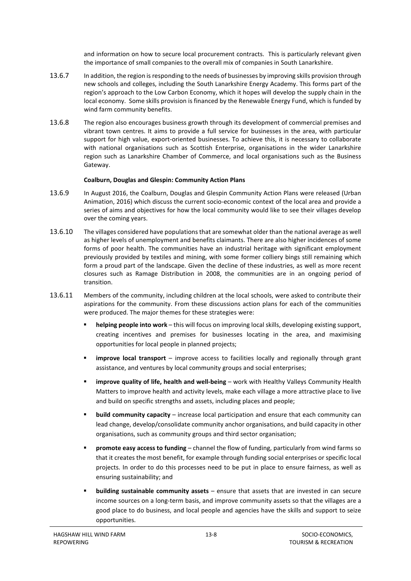and information on how to secure local procurement contracts. This is particularly relevant given the importance of small companies to the overall mix of companies in South Lanarkshire.

- 13.6.7 In addition, the region is responding to the needs of businesses by improving skills provision through new schools and colleges, including the South Lanarkshire Energy Academy. This forms part of the region's approach to the Low Carbon Economy, which it hopes will develop the supply chain in the local economy. Some skills provision is financed by the Renewable Energy Fund, which is funded by wind farm community benefits.
- 13.6.8 The region also encourages business growth through its development of commercial premises and vibrant town centres. It aims to provide a full service for businesses in the area, with particular support for high value, export-oriented businesses. To achieve this, it is necessary to collaborate with national organisations such as Scottish Enterprise, organisations in the wider Lanarkshire region such as Lanarkshire Chamber of Commerce, and local organisations such as the Business Gateway.

#### **Coalburn, Douglas and Glespin: Community Action Plans**

- 13.6.9 In August 2016, the Coalburn, Douglas and Glespin Community Action Plans were released (Urban Animation, 2016) which discuss the current socio-economic context of the local area and provide a series of aims and objectives for how the local community would like to see their villages develop over the coming years.
- 13.6.10 The villages considered have populations that are somewhat older than the national average as well as higher levels of unemployment and benefits claimants. There are also higher incidences of some forms of poor health. The communities have an industrial heritage with significant employment previously provided by textiles and mining, with some former colliery bings still remaining which form a proud part of the landscape. Given the decline of these industries, as well as more recent closures such as Ramage Distribution in 2008, the communities are in an ongoing period of transition.
- 13.6.11 Members of the community, including children at the local schools, were asked to contribute their aspirations for the community. From these discussions action plans for each of the communities were produced. The major themes for these strategies were:
	- **helping people into work** this will focus on improving local skills, developing existing support, creating incentives and premises for businesses locating in the area, and maximising opportunities for local people in planned projects;
	- **improve local transport** improve access to facilities locally and regionally through grant assistance, and ventures by local community groups and social enterprises;
	- **improve quality of life, health and well-being** work with Healthy Valleys Community Health Matters to improve health and activity levels, make each village a more attractive place to live and build on specific strengths and assets, including places and people;
	- **build community capacity** increase local participation and ensure that each community can lead change, develop/consolidate community anchor organisations, and build capacity in other organisations, such as community groups and third sector organisation;
	- **promote easy access to funding** channel the flow of funding, particularly from wind farms so that it creates the most benefit, for example through funding social enterprises or specific local projects. In order to do this processes need to be put in place to ensure fairness, as well as ensuring sustainability; and
	- **building sustainable community assets** ensure that assets that are invested in can secure income sources on a long-term basis, and improve community assets so that the villages are a good place to do business, and local people and agencies have the skills and support to seize opportunities.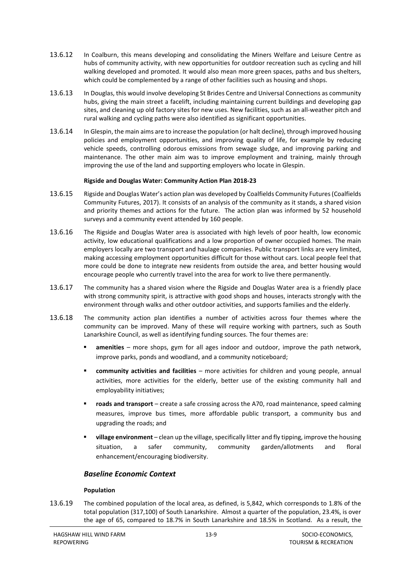- 13.6.12 In Coalburn, this means developing and consolidating the Miners Welfare and Leisure Centre as hubs of community activity, with new opportunities for outdoor recreation such as cycling and hill walking developed and promoted. It would also mean more green spaces, paths and bus shelters, which could be complemented by a range of other facilities such as housing and shops.
- 13.6.13 In Douglas, this would involve developing St Brides Centre and Universal Connections as community hubs, giving the main street a facelift, including maintaining current buildings and developing gap sites, and cleaning up old factory sites for new uses. New facilities, such as an all-weather pitch and rural walking and cycling paths were also identified as significant opportunities.
- 13.6.14 In Glespin, the main aims are to increase the population (or halt decline), through improved housing policies and employment opportunities, and improving quality of life, for example by reducing vehicle speeds, controlling odorous emissions from sewage sludge, and improving parking and maintenance. The other main aim was to improve employment and training, mainly through improving the use of the land and supporting employers who locate in Glespin.

#### **Rigside and Douglas Water: Community Action Plan 2018-23**

- 13.6.15 Rigside and Douglas Water's action plan was developed by Coalfields Community Futures(Coalfields Community Futures, 2017). It consists of an analysis of the community as it stands, a shared vision and priority themes and actions for the future. The action plan was informed by 52 household surveys and a community event attended by 160 people.
- 13.6.16 The Rigside and Douglas Water area is associated with high levels of poor health, low economic activity, low educational qualifications and a low proportion of owner occupied homes. The main employers locally are two transport and haulage companies. Public transport links are very limited, making accessing employment opportunities difficult for those without cars. Local people feel that more could be done to integrate new residents from outside the area, and better housing would encourage people who currently travel into the area for work to live there permanently.
- 13.6.17 The community has a shared vision where the Rigside and Douglas Water area is a friendly place with strong community spirit, is attractive with good shops and houses, interacts strongly with the environment through walks and other outdoor activities, and supports families and the elderly.
- 13.6.18 The community action plan identifies a number of activities across four themes where the community can be improved. Many of these will require working with partners, such as South Lanarkshire Council, as well as identifying funding sources. The four themes are:
	- **amenities** more shops, gym for all ages indoor and outdoor, improve the path network, improve parks, ponds and woodland, and a community noticeboard;
	- **EXECOMMUNITY Activities and facilities** more activities for children and young people, annual activities, more activities for the elderly, better use of the existing community hall and employability initiatives;
	- **roads and transport** create a safe crossing across the A70, road maintenance, speed calming measures, improve bus times, more affordable public transport, a community bus and upgrading the roads; and
	- **village environment** clean up the village, specifically litter and fly tipping, improve the housing situation, a safer community, community garden/allotments and floral enhancement/encouraging biodiversity.

#### *Baseline Economic Context*

#### **Population**

13.6.19 The combined population of the local area, as defined, is 5,842, which corresponds to 1.8% of the total population (317,100) of South Lanarkshire. Almost a quarter of the population, 23.4%, is over the age of 65, compared to 18.7% in South Lanarkshire and 18.5% in Scotland. As a result, the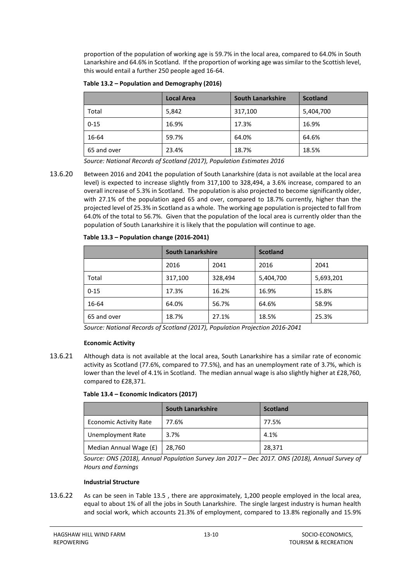proportion of the population of working age is 59.7% in the local area, compared to 64.0% in South Lanarkshire and 64.6% in Scotland. If the proportion of working age was similar to the Scottish level, this would entail a further 250 people aged 16-64.

|             | <b>Local Area</b> | <b>South Lanarkshire</b> | <b>Scotland</b> |
|-------------|-------------------|--------------------------|-----------------|
| Total       | 5,842             | 317,100                  | 5,404,700       |
| $0 - 15$    | 16.9%             | 17.3%                    | 16.9%           |
| 16-64       | 59.7%             | 64.0%                    | 64.6%           |
| 65 and over | 23.4%             | 18.7%                    | 18.5%           |

**Table 13.2 – Population and Demography (2016)**

*Source: National Records of Scotland (2017), Population Estimates 2016*

13.6.20 Between 2016 and 2041 the population of South Lanarkshire (data is not available at the local area level) is expected to increase slightly from 317,100 to 328,494, a 3.6% increase, compared to an overall increase of 5.3% in Scotland. The population is also projected to become significantly older, with 27.1% of the population aged 65 and over, compared to 18.7% currently, higher than the projected level of 25.3% in Scotland as a whole. The working age population is projected to fall from 64.0% of the total to 56.7%. Given that the population of the local area is currently older than the population of South Lanarkshire it is likely that the population will continue to age.

|             | <b>South Lanarkshire</b> |         | <b>Scotland</b> |           |
|-------------|--------------------------|---------|-----------------|-----------|
|             | 2016                     | 2041    | 2016            | 2041      |
| Total       | 317,100                  | 328,494 | 5,404,700       | 5,693,201 |
| $0 - 15$    | 17.3%                    | 16.2%   | 16.9%           | 15.8%     |
| 16-64       | 64.0%                    | 56.7%   | 64.6%           | 58.9%     |
| 65 and over | 18.7%                    | 27.1%   | 18.5%           | 25.3%     |

#### **Table 13.3 – Population change (2016-2041)**

*Source: National Records of Scotland (2017), Population Projection 2016-2041*

#### **Economic Activity**

13.6.21 Although data is not available at the local area, South Lanarkshire has a similar rate of economic activity as Scotland (77.6%, compared to 77.5%), and has an unemployment rate of 3.7%, which is lower than the level of 4.1% in Scotland. The median annual wage is also slightly higher at £28,760, compared to £28,371.

| Table 13.4 - Economic Indicators (2017) |
|-----------------------------------------|
|-----------------------------------------|

|                               | <b>South Lanarkshire</b> | <b>Scotland</b> |
|-------------------------------|--------------------------|-----------------|
| <b>Economic Activity Rate</b> | 77.6%                    | 77.5%           |
| Unemployment Rate             | 3.7%                     | 4.1%            |
| Median Annual Wage (£)        | 28,760                   | 28,371          |

*Source: ONS (2018), Annual Population Survey Jan 2017 – Dec 2017. ONS (2018), Annual Survey of Hours and Earnings*

#### **Industrial Structure**

13.6.22 As can be seen in [Table 13.5](#page-12-0) , there are approximately, 1,200 people employed in the local area, equal to about 1% of all the jobs in South Lanarkshire. The single largest industry is human health and social work, which accounts 21.3% of employment, compared to 13.8% regionally and 15.9%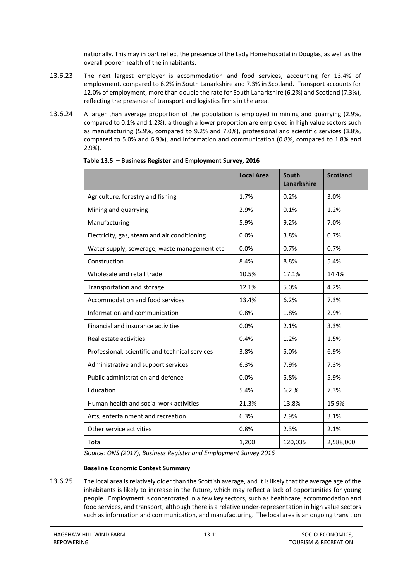nationally. This may in part reflect the presence of the Lady Home hospital in Douglas, as well as the overall poorer health of the inhabitants.

- 13.6.23 The next largest employer is accommodation and food services, accounting for 13.4% of employment, compared to 6.2% in South Lanarkshire and 7.3% in Scotland. Transport accounts for 12.0% of employment, more than double the rate for South Lanarkshire (6.2%) and Scotland (7.3%), reflecting the presence of transport and logistics firms in the area.
- 13.6.24 A larger than average proportion of the population is employed in mining and quarrying (2.9%, compared to 0.1% and 1.2%), although a lower proportion are employed in high value sectors such as manufacturing (5.9%, compared to 9.2% and 7.0%), professional and scientific services (3.8%, compared to 5.0% and 6.9%), and information and communication (0.8%, compared to 1.8% and 2.9%).

|                                                 | <b>Local Area</b> | <b>South</b><br>Lanarkshire | <b>Scotland</b> |
|-------------------------------------------------|-------------------|-----------------------------|-----------------|
| Agriculture, forestry and fishing               | 1.7%              | 0.2%                        | 3.0%            |
| Mining and quarrying                            | 2.9%              | 0.1%                        | 1.2%            |
| Manufacturing                                   | 5.9%              | 9.2%                        | 7.0%            |
| Electricity, gas, steam and air conditioning    | 0.0%              | 3.8%                        | 0.7%            |
| Water supply, sewerage, waste management etc.   | 0.0%              | 0.7%                        | 0.7%            |
| Construction                                    | 8.4%              | 8.8%                        | 5.4%            |
| Wholesale and retail trade                      | 10.5%             | 17.1%                       | 14.4%           |
| Transportation and storage                      | 12.1%             | 5.0%                        | 4.2%            |
| Accommodation and food services                 | 13.4%             | 6.2%                        | 7.3%            |
| Information and communication                   | 0.8%              | 1.8%                        | 2.9%            |
| Financial and insurance activities              | 0.0%              | 2.1%                        | 3.3%            |
| Real estate activities                          | 0.4%              | 1.2%                        | 1.5%            |
| Professional, scientific and technical services | 3.8%              | 5.0%                        | 6.9%            |
| Administrative and support services             | 6.3%              | 7.9%                        | 7.3%            |
| Public administration and defence               | 0.0%              | 5.8%                        | 5.9%            |
| Education                                       | 5.4%              | 6.2%                        | 7.3%            |
| Human health and social work activities         | 21.3%             | 13.8%                       | 15.9%           |
| Arts, entertainment and recreation              | 6.3%              | 2.9%                        | 3.1%            |
| Other service activities                        | 0.8%              | 2.3%                        | 2.1%            |
| Total                                           | 1,200             | 120,035                     | 2,588,000       |

#### <span id="page-12-0"></span>**Table 13.5 – Business Register and Employment Survey, 2016**

*Source: ONS (2017), Business Register and Employment Survey 2016*

#### **Baseline Economic Context Summary**

13.6.25 The local area is relatively older than the Scottish average, and it is likely that the average age of the inhabitants is likely to increase in the future, which may reflect a lack of opportunities for young people. Employment is concentrated in a few key sectors, such as healthcare, accommodation and food services, and transport, although there is a relative under-representation in high value sectors such as information and communication, and manufacturing. The local area is an ongoing transition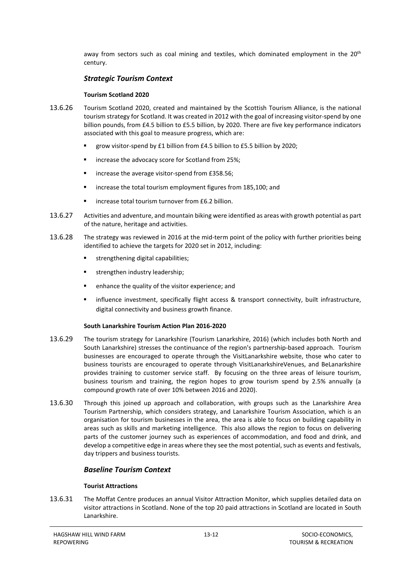away from sectors such as coal mining and textiles, which dominated employment in the  $20<sup>th</sup>$ century.

#### *Strategic Tourism Context*

#### **Tourism Scotland 2020**

- 13.6.26 Tourism Scotland 2020, created and maintained by the Scottish Tourism Alliance, is the national tourism strategy for Scotland. It was created in 2012 with the goal of increasing visitor-spend by one billion pounds, from £4.5 billion to £5.5 billion, by 2020. There are five key performance indicators associated with this goal to measure progress, which are:
	- grow visitor-spend by £1 billion from £4.5 billion to £5.5 billion by 2020;
	- **EXEC** increase the advocacy score for Scotland from 25%;
	- **EXEC** increase the average visitor-spend from £358.56;
	- **EXECT** increase the total tourism employment figures from 185,100; and
	- increase total tourism turnover from £6.2 billion.
- 13.6.27 Activities and adventure, and mountain biking were identified as areas with growth potential as part of the nature, heritage and activities.
- 13.6.28 The strategy was reviewed in 2016 at the mid-term point of the policy with further priorities being identified to achieve the targets for 2020 set in 2012, including:
	- **strengthening digital capabilities;**
	- **strengthen industry leadership;**
	- **EXECUTE:** enhance the quality of the visitor experience; and
	- influence investment, specifically flight access & transport connectivity, built infrastructure, digital connectivity and business growth finance.

#### **South Lanarkshire Tourism Action Plan 2016-2020**

- 13.6.29 The tourism strategy for Lanarkshire (Tourism Lanarkshire, 2016) (which includes both North and South Lanarkshire) stresses the continuance of the region's partnership-based approach. Tourism businesses are encouraged to operate through the VisitLanarkshire website, those who cater to business tourists are encouraged to operate through VisitLanarkshireVenues, and BeLanarkshire provides training to customer service staff. By focusing on the three areas of leisure tourism, business tourism and training, the region hopes to grow tourism spend by 2.5% annually (a compound growth rate of over 10% between 2016 and 2020).
- 13.6.30 Through this joined up approach and collaboration, with groups such as the Lanarkshire Area Tourism Partnership, which considers strategy, and Lanarkshire Tourism Association, which is an organisation for tourism businesses in the area, the area is able to focus on building capability in areas such as skills and marketing intelligence. This also allows the region to focus on delivering parts of the customer journey such as experiences of accommodation, and food and drink, and develop a competitive edge in areas where they see the most potential, such as events and festivals, day trippers and business tourists.

#### *Baseline Tourism Context*

#### **Tourist Attractions**

13.6.31 The Moffat Centre produces an annual Visitor Attraction Monitor, which supplies detailed data on visitor attractions in Scotland. None of the top 20 paid attractions in Scotland are located in South Lanarkshire.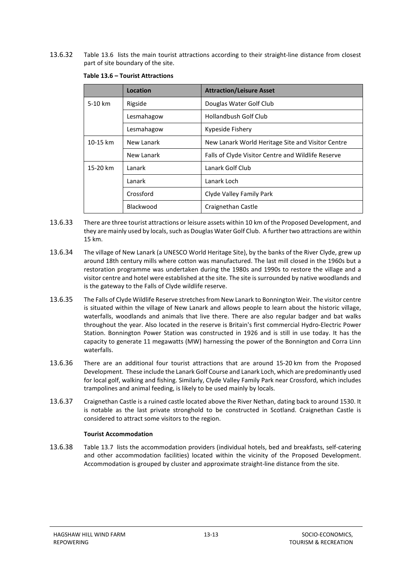<span id="page-14-0"></span>13.6.32 [Table 13.6](#page-14-0) lists the main tourist attractions according to their straight-line distance from closest part of site boundary of the site.

|                    | Location   | <b>Attraction/Leisure Asset</b>                    |  |
|--------------------|------------|----------------------------------------------------|--|
| 5-10 km            | Rigside    | Douglas Water Golf Club                            |  |
|                    | Lesmahagow | Hollandbush Golf Club                              |  |
|                    | Lesmahagow | Kypeside Fishery                                   |  |
| $10-15 \text{ km}$ | New Lanark | New Lanark World Heritage Site and Visitor Centre  |  |
|                    | New Lanark | Falls of Clyde Visitor Centre and Wildlife Reserve |  |
| $15-20$ km         | Lanark     | Lanark Golf Club                                   |  |
|                    | Lanark     | Lanark Loch                                        |  |
|                    | Crossford  | Clyde Valley Family Park                           |  |
|                    | Blackwood  | Craignethan Castle                                 |  |

#### **Table 13.6 – Tourist Attractions**

- 13.6.33 There are three tourist attractions or leisure assets within 10 km of the Proposed Development, and they are mainly used by locals, such as Douglas Water Golf Club. A further two attractions are within 15 km.
- 13.6.34 The village of New Lanark (a UNESCO World Heritage Site), by the banks of the River Clyde, grew up around 18th century mills where cotton was manufactured. The last mill closed in the 1960s but a restoration programme was undertaken during the 1980s and 1990s to restore the village and a visitor centre and hotel were established at the site. The site is surrounded by native woodlands and is the gateway to the Falls of Clyde wildlife reserve.
- 13.6.35 The Falls of Clyde Wildlife Reserve stretches from New Lanark to Bonnington Weir. The visitor centre is situated within the village of New Lanark and allows people to learn about the historic village, waterfalls, woodlands and animals that live there. There are also regular badger and bat walks throughout the year. Also located in the reserve is Britain's first commercial Hydro-Electric Power Station. Bonnington Power Station was constructed in 1926 and is still in use today. It has the capacity to generate 11 megawatts (MW) harnessing the power of the Bonnington and Corra Linn waterfalls.
- 13.6.36 There are an additional four tourist attractions that are around 15-20 km from the Proposed Development. These include the Lanark Golf Course and Lanark Loch, which are predominantly used for local golf, walking and fishing. Similarly, Clyde Valley Family Park near Crossford, which includes trampolines and animal feeding, is likely to be used mainly by locals.
- 13.6.37 Craignethan Castle is a ruined castle located above the River Nethan, dating back to around 1530. It is notable as the last private stronghold to be constructed in Scotland. Craignethan Castle is considered to attract some visitors to the region.

#### **Tourist Accommodation**

13.6.38 [Table 13.7](#page-15-0) lists the accommodation providers (individual hotels, bed and breakfasts, self-catering and other accommodation facilities) located within the vicinity of the Proposed Development. Accommodation is grouped by cluster and approximate straight-line distance from the site.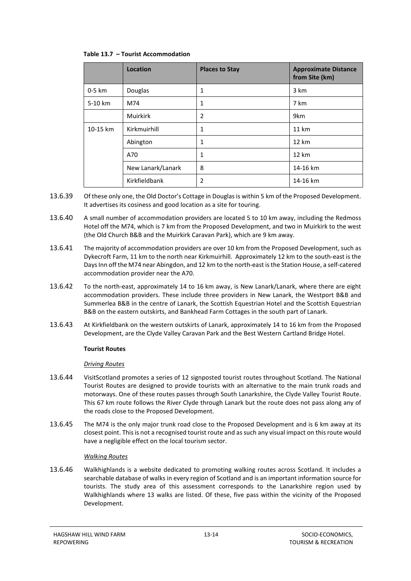#### <span id="page-15-0"></span>**Table 13.7 – Tourist Accommodation**

|          | <b>Location</b>   | <b>Places to Stay</b> | <b>Approximate Distance</b><br>from Site (km) |
|----------|-------------------|-----------------------|-----------------------------------------------|
| $0-5$ km | Douglas           | 1                     | 3 km                                          |
| 5-10 km  | M74               | 1                     | 7 km                                          |
|          | Muirkirk          | $\overline{2}$        | 9km                                           |
| 10-15 km | Kirkmuirhill      | 1                     | 11 km                                         |
|          | Abington          | 1                     | 12 km                                         |
|          | A70               | 1                     | 12 km                                         |
|          | New Lanark/Lanark | 8                     | 14-16 km                                      |
|          | Kirkfieldbank     | 2                     | 14-16 km                                      |

- 13.6.39 Of these only one, the Old Doctor's Cottage in Douglas is within 5 km of the Proposed Development. It advertises its cosiness and good location as a site for touring.
- 13.6.40 A small number of accommodation providers are located 5 to 10 km away, including the Redmoss Hotel off the M74, which is 7 km from the Proposed Development, and two in Muirkirk to the west (the Old Church B&B and the Muirkirk Caravan Park), which are 9 km away.
- 13.6.41 The majority of accommodation providers are over 10 km from the Proposed Development, such as Dykecroft Farm, 11 km to the north near Kirkmuirhill. Approximately 12 km to the south-east is the Days Inn off the M74 near Abingdon, and 12 km to the north-east is the Station House, a self-catered accommodation provider near the A70.
- 13.6.42 To the north-east, approximately 14 to 16 km away, is New Lanark/Lanark, where there are eight accommodation providers. These include three providers in New Lanark, the Westport B&B and Summerlea B&B in the centre of Lanark, the Scottish Equestrian Hotel and the Scottish Equestrian B&B on the eastern outskirts, and Bankhead Farm Cottages in the south part of Lanark.
- 13.6.43 At Kirkfieldbank on the western outskirts of Lanark, approximately 14 to 16 km from the Proposed Development, are the Clyde Valley Caravan Park and the Best Western Cartland Bridge Hotel.

#### **Tourist Routes**

#### *Driving Routes*

- 13.6.44 VisitScotland promotes a series of 12 signposted tourist routes throughout Scotland. The National Tourist Routes are designed to provide tourists with an alternative to the main trunk roads and motorways. One of these routes passes through South Lanarkshire, the Clyde Valley Tourist Route. This 67 km route follows the River Clyde through Lanark but the route does not pass along any of the roads close to the Proposed Development.
- 13.6.45 The M74 is the only major trunk road close to the Proposed Development and is 6 km away at its closest point. This is not a recognised tourist route and as such any visual impact on this route would have a negligible effect on the local tourism sector.

#### *Walking Routes*

13.6.46 Walkhighlands is a website dedicated to promoting walking routes across Scotland. It includes a searchable database of walks in every region of Scotland and is an important information source for tourists. The study area of this assessment corresponds to the Lanarkshire region used by Walkhighlands where 13 walks are listed. Of these, five pass within the vicinity of the Proposed Development.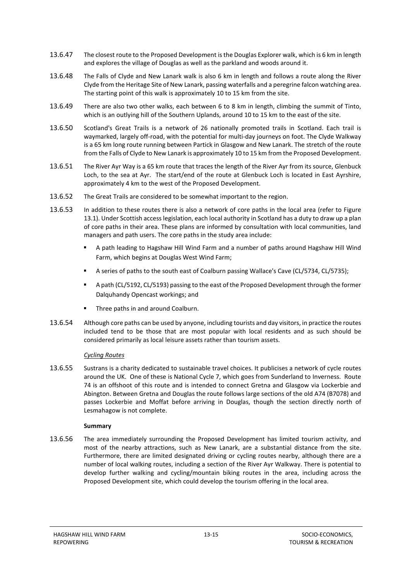- 13.6.47 The closest route to the Proposed Development is the Douglas Explorer walk, which is 6 km in length and explores the village of Douglas as well as the parkland and woods around it.
- 13.6.48 The Falls of Clyde and New Lanark walk is also 6 km in length and follows a route along the River Clyde from the Heritage Site of New Lanark, passing waterfalls and a peregrine falcon watching area. The starting point of this walk is approximately 10 to 15 km from the site.
- 13.6.49 There are also two other walks, each between 6 to 8 km in length, climbing the summit of Tinto, which is an outlying hill of the Southern Uplands, around 10 to 15 km to the east of the site.
- 13.6.50 Scotland's Great Trails is a network of 26 nationally promoted trails in Scotland. Each trail is waymarked, largely off-road, with the potential for multi-day journeys on foot. The Clyde Walkway is a 65 km long route running between Partick in Glasgow and New Lanark. The stretch of the route from the Falls of Clyde to New Lanark is approximately 10 to 15 km from the Proposed Development.
- 13.6.51 The River Ayr Way is a 65 km route that traces the length of the River Ayr from its source, Glenbuck Loch, to the sea at Ayr. The start/end of the route at Glenbuck Loch is located in East Ayrshire, approximately 4 km to the west of the Proposed Development.
- 13.6.52 The Great Trails are considered to be somewhat important to the region.
- 13.6.53 In addition to these routes there is also a network of core paths in the local area (refer to Figure 13.1). Under Scottish access legislation, each local authority in Scotland has a duty to draw up a plan of core paths in their area. These plans are informed by consultation with local communities, land managers and path users. The core paths in the study area include:
	- A path leading to Hagshaw Hill Wind Farm and a number of paths around Hagshaw Hill Wind Farm, which begins at Douglas West Wind Farm;
	- A series of paths to the south east of Coalburn passing Wallace's Cave (CL/5734, CL/5735);
	- A path (CL/5192, CL/5193) passing to the east of the Proposed Development through the former Dalquhandy Opencast workings; and
	- Three paths in and around Coalburn.
- 13.6.54 Although core paths can be used by anyone, including tourists and day visitors, in practice the routes included tend to be those that are most popular with local residents and as such should be considered primarily as local leisure assets rather than tourism assets.

#### *Cycling Routes*

13.6.55 Sustrans is a charity dedicated to sustainable travel choices. It publicises a network of cycle routes around the UK. One of these is National Cycle 7, which goes from Sunderland to Inverness. Route 74 is an offshoot of this route and is intended to connect Gretna and Glasgow via Lockerbie and Abington. Between Gretna and Douglas the route follows large sections of the old A74 (B7078) and passes Lockerbie and Moffat before arriving in Douglas, though the section directly north of Lesmahagow is not complete.

#### **Summary**

13.6.56 The area immediately surrounding the Proposed Development has limited tourism activity, and most of the nearby attractions, such as New Lanark, are a substantial distance from the site. Furthermore, there are limited designated driving or cycling routes nearby, although there are a number of local walking routes, including a section of the River Ayr Walkway. There is potential to develop further walking and cycling/mountain biking routes in the area, including across the Proposed Development site, which could develop the tourism offering in the local area.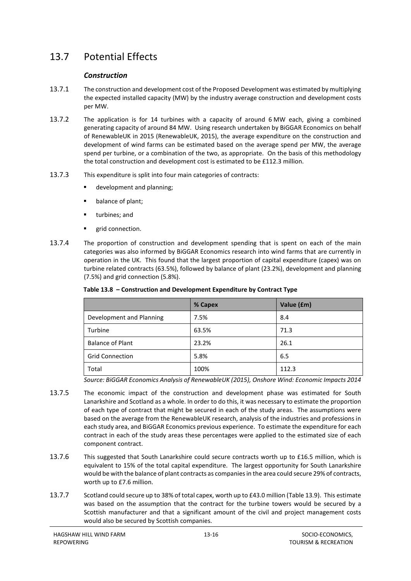## <span id="page-17-0"></span>13.7 Potential Effects

### *Construction*

- 13.7.1 The construction and development cost of the Proposed Development was estimated by multiplying the expected installed capacity (MW) by the industry average construction and development costs per MW.
- 13.7.2 The application is for 14 turbines with a capacity of around 6 MW each, giving a combined generating capacity of around 84 MW. Using research undertaken by BiGGAR Economics on behalf of RenewableUK in 2015 (RenewableUK, 2015), the average expenditure on the construction and development of wind farms can be estimated based on the average spend per MW, the average spend per turbine, or a combination of the two, as appropriate. On the basis of this methodology the total construction and development cost is estimated to be £112.3 million.
- 13.7.3 This expenditure is split into four main categories of contracts:
	- **development and planning;**
	- **•** balance of plant;
	- **turbines**; and
	- grid connection.
- 13.7.4 The proportion of construction and development spending that is spent on each of the main categories was also informed by BiGGAR Economics research into wind farms that are currently in operation in the UK. This found that the largest proportion of capital expenditure (capex) was on turbine related contracts (63.5%), followed by balance of plant (23.2%), development and planning (7.5%) and grid connection (5.8%).

|                          | % Capex | Value (£m) |
|--------------------------|---------|------------|
| Development and Planning | 7.5%    | 8.4        |
| Turbine                  | 63.5%   | 71.3       |
| <b>Balance of Plant</b>  | 23.2%   | 26.1       |
| <b>Grid Connection</b>   | 5.8%    | 6.5        |
| Total                    | 100%    | 112.3      |

**Table 13.8 – Construction and Development Expenditure by Contract Type**

*Source: BiGGAR Economics Analysis of RenewableUK (2015), Onshore Wind: Economic Impacts 2014*

- 13.7.5 The economic impact of the construction and development phase was estimated for South Lanarkshire and Scotland as a whole. In order to do this, it was necessary to estimate the proportion of each type of contract that might be secured in each of the study areas. The assumptions were based on the average from the RenewableUK research, analysis of the industries and professions in each study area, and BiGGAR Economics previous experience. To estimate the expenditure for each contract in each of the study areas these percentages were applied to the estimated size of each component contract.
- 13.7.6 This suggested that South Lanarkshire could secure contracts worth up to £16.5 million, which is equivalent to 15% of the total capital expenditure. The largest opportunity for South Lanarkshire would be with the balance of plant contracts as companies in the area could secure 29% of contracts, worth up to £7.6 million.
- 13.7.7 Scotland could secure up to 38% of total capex, worth up to £43.0 million [\(Table 13.9\)](#page-18-0). This estimate was based on the assumption that the contract for the turbine towers would be secured by a Scottish manufacturer and that a significant amount of the civil and project management costs would also be secured by Scottish companies.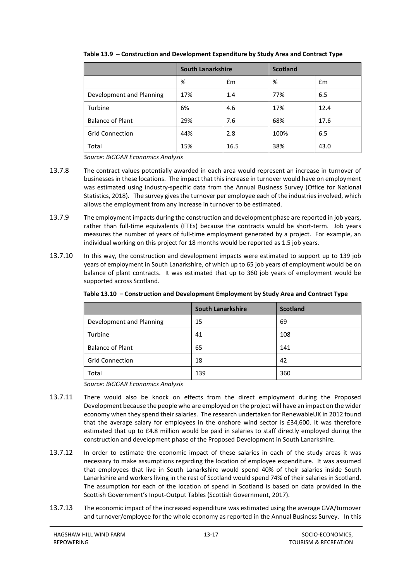|                          | <b>South Lanarkshire</b> |      | <b>Scotland</b> |      |
|--------------------------|--------------------------|------|-----------------|------|
|                          | %                        | Em   | %               | Em   |
| Development and Planning | 17%                      | 1.4  | 77%             | 6.5  |
| Turbine                  | 6%                       | 4.6  | 17%             | 12.4 |
| <b>Balance of Plant</b>  | 29%                      | 7.6  | 68%             | 17.6 |
| <b>Grid Connection</b>   | 44%                      | 2.8  | 100%            | 6.5  |
| Total                    | 15%                      | 16.5 | 38%             | 43.0 |

#### <span id="page-18-0"></span>**Table 13.9 – Construction and Development Expenditure by Study Area and Contract Type**

*Source: BiGGAR Economics Analysis*

- 13.7.8 The contract values potentially awarded in each area would represent an increase in turnover of businesses in these locations. The impact that this increase in turnover would have on employment was estimated using industry-specific data from the Annual Business Survey (Office for National Statistics, 2018). The survey gives the turnover per employee each of the industries involved, which allows the employment from any increase in turnover to be estimated.
- 13.7.9 The employment impacts during the construction and development phase are reported in job years, rather than full-time equivalents (FTEs) because the contracts would be short-term. Job years measures the number of years of full-time employment generated by a project. For example, an individual working on this project for 18 months would be reported as 1.5 job years.
- 13.7.10 In this way, the construction and development impacts were estimated to support up to 139 job years of employment in South Lanarkshire, of which up to 65 job years of employment would be on balance of plant contracts. It was estimated that up to 360 job years of employment would be supported across Scotland.

|                          | <b>South Lanarkshire</b> | <b>Scotland</b> |
|--------------------------|--------------------------|-----------------|
| Development and Planning | 15                       | 69              |
| Turbine                  | 41                       | 108             |
| <b>Balance of Plant</b>  | 65                       | 141             |
| <b>Grid Connection</b>   | 18                       | 42              |
| Total                    | 139                      | 360             |

#### **Table 13.10 – Construction and Development Employment by Study Area and Contract Type**

*Source: BiGGAR Economics Analysis*

- 13.7.11 There would also be knock on effects from the direct employment during the Proposed Development because the people who are employed on the project will have an impact on the wider economy when they spend their salaries. The research undertaken for RenewableUK in 2012 found that the average salary for employees in the onshore wind sector is £34,600. It was therefore estimated that up to £4.8 million would be paid in salaries to staff directly employed during the construction and development phase of the Proposed Development in South Lanarkshire.
- 13.7.12 In order to estimate the economic impact of these salaries in each of the study areas it was necessary to make assumptions regarding the location of employee expenditure. It was assumed that employees that live in South Lanarkshire would spend 40% of their salaries inside South Lanarkshire and workers living in the rest of Scotland would spend 74% of their salaries in Scotland. The assumption for each of the location of spend in Scotland is based on data provided in the Scottish Government's Input-Output Tables (Scottish Government, 2017).
- 13.7.13 The economic impact of the increased expenditure was estimated using the average GVA/turnover and turnover/employee for the whole economy as reported in the Annual Business Survey. In this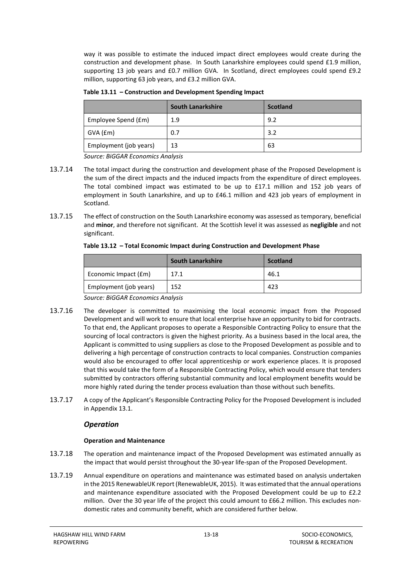way it was possible to estimate the induced impact direct employees would create during the construction and development phase. In South Lanarkshire employees could spend £1.9 million, supporting 13 job years and £0.7 million GVA. In Scotland, direct employees could spend £9.2 million, supporting 63 job years, and £3.2 million GVA.

|                        | <b>South Lanarkshire</b> | <b>Scotland</b> |
|------------------------|--------------------------|-----------------|
| Employee Spend (£m)    | 1.9                      | 9.2             |
| $GVA$ ( $Em$ )         | 0.7                      | 3.2             |
| Employment (job years) | 13                       | 63              |

**Table 13.11 – Construction and Development Spending Impact**

*Source: BiGGAR Economics Analysis*

- 13.7.14 The total impact during the construction and development phase of the Proposed Development is the sum of the direct impacts and the induced impacts from the expenditure of direct employees. The total combined impact was estimated to be up to £17.1 million and 152 job years of employment in South Lanarkshire, and up to £46.1 million and 423 job years of employment in Scotland.
- 13.7.15 The effect of construction on the South Lanarkshire economy was assessed as temporary, beneficial and **minor**, and therefore not significant. At the Scottish level it was assessed as **negligible** and not significant.

|  |  |  |  | Table 13.12 - Total Economic Impact during Construction and Development Phase |  |  |
|--|--|--|--|-------------------------------------------------------------------------------|--|--|
|--|--|--|--|-------------------------------------------------------------------------------|--|--|

|                        | <b>South Lanarkshire</b> | <b>Scotland</b> |
|------------------------|--------------------------|-----------------|
| Economic Impact (£m)   | 17.1                     | 46.1            |
| Employment (job years) | 152                      | 423             |

*Source: BiGGAR Economics Analysis*

- 13.7.16 The developer is committed to maximising the local economic impact from the Proposed Development and will work to ensure that local enterprise have an opportunity to bid for contracts. To that end, the Applicant proposes to operate a Responsible Contracting Policy to ensure that the sourcing of local contractors is given the highest priority. As a business based in the local area, the Applicant is committed to using suppliers as close to the Proposed Development as possible and to delivering a high percentage of construction contracts to local companies. Construction companies would also be encouraged to offer local apprenticeship or work experience places. It is proposed that this would take the form of a Responsible Contracting Policy, which would ensure that tenders submitted by contractors offering substantial community and local employment benefits would be more highly rated during the tender process evaluation than those without such benefits.
- 13.7.17 A copy of the Applicant's Responsible Contracting Policy for the Proposed Development is included in Appendix 13.1.

### *Operation*

#### **Operation and Maintenance**

- 13.7.18 The operation and maintenance impact of the Proposed Development was estimated annually as the impact that would persist throughout the 30-year life-span of the Proposed Development.
- 13.7.19 Annual expenditure on operations and maintenance was estimated based on analysis undertaken in the 2015 RenewableUK report (RenewableUK, 2015). It was estimated that the annual operations and maintenance expenditure associated with the Proposed Development could be up to £2.2 million. Over the 30 year life of the project this could amount to £66.2 million. This excludes nondomestic rates and community benefit, which are considered further below.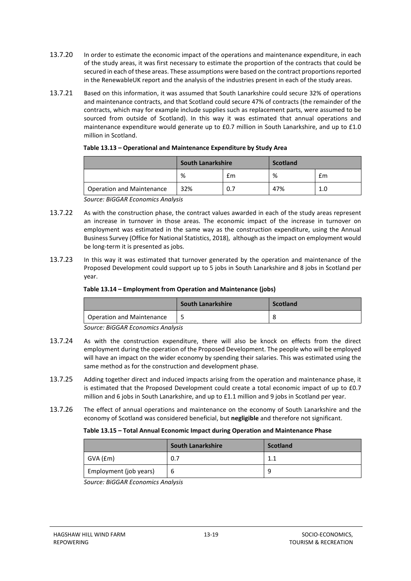- 13.7.20 In order to estimate the economic impact of the operations and maintenance expenditure, in each of the study areas, it was first necessary to estimate the proportion of the contracts that could be secured in each of these areas. These assumptions were based on the contract proportions reported in the RenewableUK report and the analysis of the industries present in each of the study areas.
- 13.7.21 Based on this information, it was assumed that South Lanarkshire could secure 32% of operations and maintenance contracts, and that Scotland could secure 47% of contracts (the remainder of the contracts, which may for example include supplies such as replacement parts, were assumed to be sourced from outside of Scotland). In this way it was estimated that annual operations and maintenance expenditure would generate up to £0.7 million in South Lanarkshire, and up to £1.0 million in Scotland.

|                                  | <b>South Lanarkshire</b> |     | <b>Scotland</b> |     |  |
|----------------------------------|--------------------------|-----|-----------------|-----|--|
|                                  | %                        | £m  | %               | Em  |  |
| <b>Operation and Maintenance</b> | 32%                      | 0.7 | 47%             | 1.0 |  |

#### **Table 13.13 – Operational and Maintenance Expenditure by Study Area**

*Source: BiGGAR Economics Analysis*

- 13.7.22 As with the construction phase, the contract values awarded in each of the study areas represent an increase in turnover in those areas. The economic impact of the increase in turnover on employment was estimated in the same way as the construction expenditure, using the Annual Business Survey (Office for National Statistics, 2018), although as the impact on employment would be long-term it is presented as jobs.
- 13.7.23 In this way it was estimated that turnover generated by the operation and maintenance of the Proposed Development could support up to 5 jobs in South Lanarkshire and 8 jobs in Scotland per year.

#### **Table 13.14 – Employment from Operation and Maintenance (jobs)**

|                           | <b>South Lanarkshire</b> | <b>Scotland</b> |
|---------------------------|--------------------------|-----------------|
| Operation and Maintenance |                          |                 |

*Source: BiGGAR Economics Analysis*

- 13.7.24 As with the construction expenditure, there will also be knock on effects from the direct employment during the operation of the Proposed Development. The people who will be employed will have an impact on the wider economy by spending their salaries. This was estimated using the same method as for the construction and development phase.
- 13.7.25 Adding together direct and induced impacts arising from the operation and maintenance phase, it is estimated that the Proposed Development could create a total economic impact of up to £0.7 million and 6 jobs in South Lanarkshire, and up to £1.1 million and 9 jobs in Scotland per year.
- 13.7.26 The effect of annual operations and maintenance on the economy of South Lanarkshire and the economy of Scotland was considered beneficial, but **negligible** and therefore not significant.

#### **Table 13.15 – Total Annual Economic Impact during Operation and Maintenance Phase**

|                        | <b>South Lanarkshire</b> | <b>Scotland</b> |
|------------------------|--------------------------|-----------------|
| GVA (£m)               | 0.7                      | 1.1             |
| Employment (job years) | b                        |                 |

*Source: BiGGAR Economics Analysis*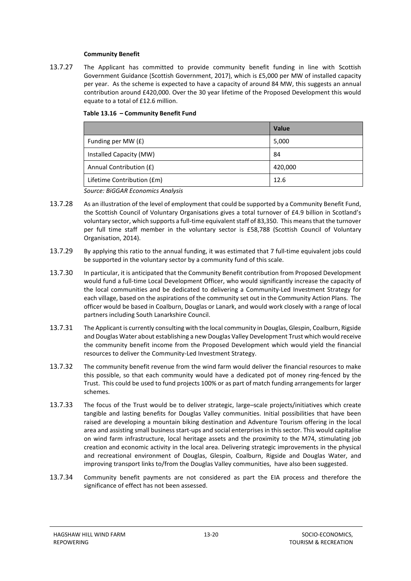#### **Community Benefit**

13.7.27 The Applicant has committed to provide community benefit funding in line with Scottish Government Guidance (Scottish Government, 2017), which is £5,000 per MW of installed capacity per year. As the scheme is expected to have a capacity of around 84 MW, this suggests an annual contribution around £420,000. Over the 30 year lifetime of the Proposed Development this would equate to a total of £12.6 million.

|                                   | Value   |  |  |  |  |
|-----------------------------------|---------|--|--|--|--|
| Funding per MW (£)                | 5,000   |  |  |  |  |
| Installed Capacity (MW)           | 84      |  |  |  |  |
| Annual Contribution (£)           | 420,000 |  |  |  |  |
| Lifetime Contribution (£m)        | 12.6    |  |  |  |  |
| Course: BiCCAB Esanamics Anglusis |         |  |  |  |  |

#### **Table 13.16 – Community Benefit Fund**

*Source: BiGGAR Economics Analysis*

- 13.7.28 As an illustration of the level of employment that could be supported by a Community Benefit Fund, the Scottish Council of Voluntary Organisations gives a total turnover of £4.9 billion in Scotland's voluntary sector, which supports a full-time equivalent staff of 83,350. This means that the turnover per full time staff member in the voluntary sector is £58,788 (Scottish Council of Voluntary Organisation, 2014).
- 13.7.29 By applying this ratio to the annual funding, it was estimated that 7 full-time equivalent jobs could be supported in the voluntary sector by a community fund of this scale.
- 13.7.30 In particular, it is anticipated that the Community Benefit contribution from Proposed Development would fund a full-time Local Development Officer, who would significantly increase the capacity of the local communities and be dedicated to delivering a Community-Led Investment Strategy for each village, based on the aspirations of the community set out in the Community Action Plans. The officer would be based in Coalburn, Douglas or Lanark, and would work closely with a range of local partners including South Lanarkshire Council.
- 13.7.31 The Applicant is currently consulting with the local community in Douglas, Glespin, Coalburn, Rigside and Douglas Water about establishing a new Douglas Valley Development Trust which would receive the community benefit income from the Proposed Development which would yield the financial resources to deliver the Community-Led Investment Strategy.
- 13.7.32 The community benefit revenue from the wind farm would deliver the financial resources to make this possible, so that each community would have a dedicated pot of money ring-fenced by the Trust. This could be used to fund projects 100% or as part of match funding arrangements for larger schemes.
- 13.7.33 The focus of the Trust would be to deliver strategic, large–scale projects/initiatives which create tangible and lasting benefits for Douglas Valley communities. Initial possibilities that have been raised are developing a mountain biking destination and Adventure Tourism offering in the local area and assisting small business start-ups and social enterprises in this sector. This would capitalise on wind farm infrastructure, local heritage assets and the proximity to the M74, stimulating job creation and economic activity in the local area. Delivering strategic improvements in the physical and recreational environment of Douglas, Glespin, Coalburn, Rigside and Douglas Water, and improving transport links to/from the Douglas Valley communities, have also been suggested.
- 13.7.34 Community benefit payments are not considered as part the EIA process and therefore the significance of effect has not been assessed.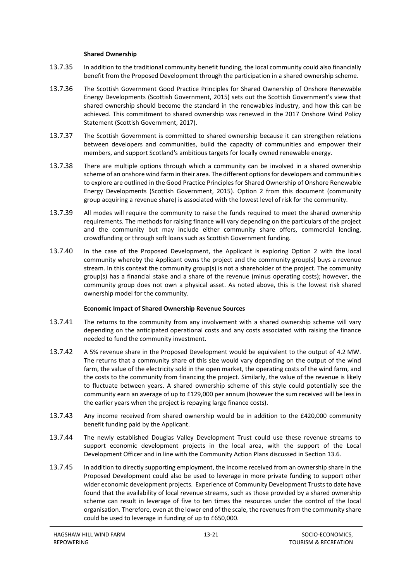#### **Shared Ownership**

- 13.7.35 In addition to the traditional community benefit funding, the local community could also financially benefit from the Proposed Development through the participation in a shared ownership scheme.
- 13.7.36 The Scottish Government Good Practice Principles for Shared Ownership of Onshore Renewable Energy Developments (Scottish Government, 2015) sets out the Scottish Government's view that shared ownership should become the standard in the renewables industry, and how this can be achieved. This commitment to shared ownership was renewed in the 2017 Onshore Wind Policy Statement (Scottish Government, 2017).
- 13.7.37 The Scottish Government is committed to shared ownership because it can strengthen relations between developers and communities, build the capacity of communities and empower their members, and support Scotland's ambitious targets for locally owned renewable energy.
- 13.7.38 There are multiple options through which a community can be involved in a shared ownership scheme of an onshore wind farm in their area. The different options for developers and communities to explore are outlined in the Good Practice Principles for Shared Ownership of Onshore Renewable Energy Developments (Scottish Government, 2015). Option 2 from this document (community group acquiring a revenue share) is associated with the lowest level of risk for the community.
- 13.7.39 All modes will require the community to raise the funds required to meet the shared ownership requirements. The methods for raising finance will vary depending on the particulars of the project and the community but may include either community share offers, commercial lending, crowdfunding or through soft loans such as Scottish Government funding.
- 13.7.40 In the case of the Proposed Development, the Applicant is exploring Option 2 with the local community whereby the Applicant owns the project and the community group(s) buys a revenue stream. In this context the community group(s) is not a shareholder of the project. The community group(s) has a financial stake and a share of the revenue (minus operating costs); however, the community group does not own a physical asset. As noted above, this is the lowest risk shared ownership model for the community.

#### **Economic Impact of Shared Ownership Revenue Sources**

- 13.7.41 The returns to the community from any involvement with a shared ownership scheme will vary depending on the anticipated operational costs and any costs associated with raising the finance needed to fund the community investment.
- 13.7.42 A 5% revenue share in the Proposed Development would be equivalent to the output of 4.2 MW. The returns that a community share of this size would vary depending on the output of the wind farm, the value of the electricity sold in the open market, the operating costs of the wind farm, and the costs to the community from financing the project. Similarly, the value of the revenue is likely to fluctuate between years. A shared ownership scheme of this style could potentially see the community earn an average of up to £129,000 per annum (however the sum received will be less in the earlier years when the project is repaying large finance costs).
- 13.7.43 Any income received from shared ownership would be in addition to the £420,000 community benefit funding paid by the Applicant.
- 13.7.44 The newly established Douglas Valley Development Trust could use these revenue streams to support economic development projects in the local area, with the support of the Local Development Officer and in line with the Community Action Plans discussed in Sectio[n 13.6.](#page-8-0)
- 13.7.45 In addition to directly supporting employment, the income received from an ownership share in the Proposed Development could also be used to leverage in more private funding to support other wider economic development projects. Experience of Community Development Trusts to date have found that the availability of local revenue streams, such as those provided by a shared ownership scheme can result in leverage of five to ten times the resources under the control of the local organisation. Therefore, even at the lower end of the scale, the revenues from the community share could be used to leverage in funding of up to £650,000.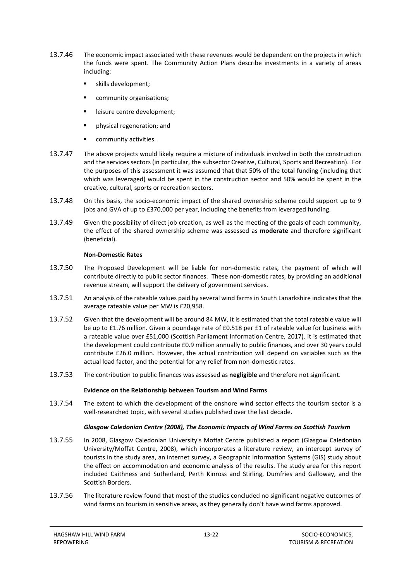- 13.7.46 The economic impact associated with these revenues would be dependent on the projects in which the funds were spent. The Community Action Plans describe investments in a variety of areas including:
	- skills development;
	- community organisations;
	- **EXEC** leisure centre development;
	- **Physical regeneration; and**
	- community activities.
- 13.7.47 The above projects would likely require a mixture of individuals involved in both the construction and the services sectors (in particular, the subsector Creative, Cultural, Sports and Recreation). For the purposes of this assessment it was assumed that that 50% of the total funding (including that which was leveraged) would be spent in the construction sector and 50% would be spent in the creative, cultural, sports or recreation sectors.
- 13.7.48 On this basis, the socio-economic impact of the shared ownership scheme could support up to 9 jobs and GVA of up to £370,000 per year, including the benefits from leveraged funding.
- 13.7.49 Given the possibility of direct job creation, as well as the meeting of the goals of each community, the effect of the shared ownership scheme was assessed as **moderate** and therefore significant (beneficial).

#### **Non-Domestic Rates**

- 13.7.50 The Proposed Development will be liable for non-domestic rates, the payment of which will contribute directly to public sector finances. These non-domestic rates, by providing an additional revenue stream, will support the delivery of government services.
- 13.7.51 An analysis of the rateable values paid by several wind farms in South Lanarkshire indicates that the average rateable value per MW is £20,958.
- 13.7.52 Given that the development will be around 84 MW, it is estimated that the total rateable value will be up to £1.76 million. Given a poundage rate of £0.518 per £1 of rateable value for business with a rateable value over £51,000 (Scottish Parliament Information Centre, 2017). it is estimated that the development could contribute £0.9 million annually to public finances, and over 30 years could contribute £26.0 million. However, the actual contribution will depend on variables such as the actual load factor, and the potential for any relief from non-domestic rates.
- 13.7.53 The contribution to public finances was assessed as **negligible** and therefore not significant.

#### **Evidence on the Relationship between Tourism and Wind Farms**

13.7.54 The extent to which the development of the onshore wind sector effects the tourism sector is a well-researched topic, with several studies published over the last decade.

#### *Glasgow Caledonian Centre (2008), The Economic Impacts of Wind Farms on Scottish Tourism*

- 13.7.55 In 2008, Glasgow Caledonian University's Moffat Centre published a report (Glasgow Caledonian University/Moffat Centre, 2008), which incorporates a literature review, an intercept survey of tourists in the study area, an internet survey, a Geographic Information Systems (GIS) study about the effect on accommodation and economic analysis of the results. The study area for this report included Caithness and Sutherland, Perth Kinross and Stirling, Dumfries and Galloway, and the Scottish Borders.
- 13.7.56 The literature review found that most of the studies concluded no significant negative outcomes of wind farms on tourism in sensitive areas, as they generally don't have wind farms approved.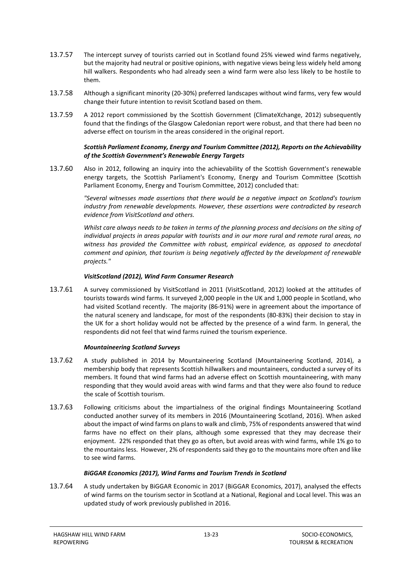- 13.7.57 The intercept survey of tourists carried out in Scotland found 25% viewed wind farms negatively, but the majority had neutral or positive opinions, with negative views being less widely held among hill walkers. Respondents who had already seen a wind farm were also less likely to be hostile to them.
- 13.7.58 Although a significant minority (20-30%) preferred landscapes without wind farms, very few would change their future intention to revisit Scotland based on them.
- 13.7.59 A 2012 report commissioned by the Scottish Government (ClimateXchange, 2012) subsequently found that the findings of the Glasgow Caledonian report were robust, and that there had been no adverse effect on tourism in the areas considered in the original report.

#### *Scottish Parliament Economy, Energy and Tourism Committee (2012), Reports on the Achievability of the Scottish Government's Renewable Energy Targets*

13.7.60 Also in 2012, following an inquiry into the achievability of the Scottish Government's renewable energy targets, the Scottish Parliament's Economy, Energy and Tourism Committee (Scottish Parliament Economy, Energy and Tourism Committee, 2012) concluded that:

> *"Several witnesses made assertions that there would be a negative impact on Scotland's tourism industry from renewable developments. However, these assertions were contradicted by research evidence from VisitScotland and others.*

> *Whilst care always needs to be taken in terms of the planning process and decisions on the siting of individual projects in areas popular with tourists and in our more rural and remote rural areas, no witness has provided the Committee with robust, empirical evidence, as opposed to anecdotal comment and opinion, that tourism is being negatively affected by the development of renewable projects."*

#### *VisitScotland (2012), Wind Farm Consumer Research*

13.7.61 A survey commissioned by VisitScotland in 2011 (VisitScotland, 2012) looked at the attitudes of tourists towards wind farms. It surveyed 2,000 people in the UK and 1,000 people in Scotland, who had visited Scotland recently. The majority (86-91%) were in agreement about the importance of the natural scenery and landscape, for most of the respondents (80-83%) their decision to stay in the UK for a short holiday would not be affected by the presence of a wind farm. In general, the respondents did not feel that wind farms ruined the tourism experience.

#### *Mountaineering Scotland Surveys*

- 13.7.62 A study published in 2014 by Mountaineering Scotland (Mountaineering Scotland, 2014), a membership body that represents Scottish hillwalkers and mountaineers, conducted a survey of its members. It found that wind farms had an adverse effect on Scottish mountaineering, with many responding that they would avoid areas with wind farms and that they were also found to reduce the scale of Scottish tourism.
- 13.7.63 Following criticisms about the impartialness of the original findings Mountaineering Scotland conducted another survey of its members in 2016 (Mountaineering Scotland, 2016). When asked about the impact of wind farms on plans to walk and climb, 75% of respondents answered that wind farms have no effect on their plans, although some expressed that they may decrease their enjoyment. 22% responded that they go as often, but avoid areas with wind farms, while 1% go to the mountains less. However, 2% of respondents said they go to the mountains more often and like to see wind farms.

#### *BiGGAR Economics (2017), Wind Farms and Tourism Trends in Scotland*

13.7.64 A study undertaken by BiGGAR Economic in 2017 (BiGGAR Economics, 2017), analysed the effects of wind farms on the tourism sector in Scotland at a National, Regional and Local level. This was an updated study of work previously published in 2016.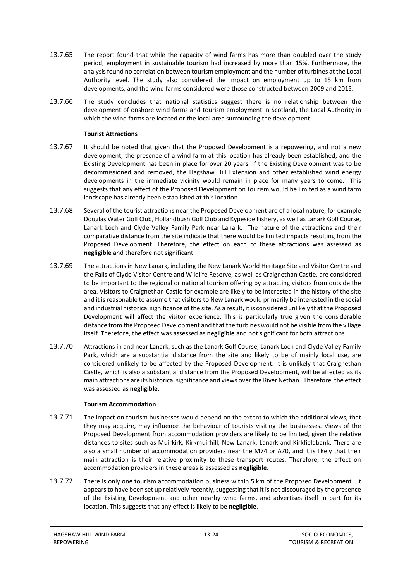- 13.7.65 The report found that while the capacity of wind farms has more than doubled over the study period, employment in sustainable tourism had increased by more than 15%. Furthermore, the analysis found no correlation between tourism employment and the number of turbines at the Local Authority level. The study also considered the impact on employment up to 15 km from developments, and the wind farms considered were those constructed between 2009 and 2015.
- 13.7.66 The study concludes that national statistics suggest there is no relationship between the development of onshore wind farms and tourism employment in Scotland, the Local Authority in which the wind farms are located or the local area surrounding the development.

#### **Tourist Attractions**

- 13.7.67 It should be noted that given that the Proposed Development is a repowering, and not a new development, the presence of a wind farm at this location has already been established, and the Existing Development has been in place for over 20 years. If the Existing Development was to be decommissioned and removed, the Hagshaw Hill Extension and other established wind energy developments in the immediate vicinity would remain in place for many years to come. This suggests that any effect of the Proposed Development on tourism would be limited as a wind farm landscape has already been established at this location.
- 13.7.68 Several of the tourist attractions near the Proposed Development are of a local nature, for example Douglas Water Golf Club, Hollandbush Golf Club and Kypeside Fishery, as well as Lanark Golf Course, Lanark Loch and Clyde Valley Family Park near Lanark. The nature of the attractions and their comparative distance from the site indicate that there would be limited impacts resulting from the Proposed Development. Therefore, the effect on each of these attractions was assessed as **negligible** and therefore not significant.
- 13.7.69 The attractions in New Lanark, including the New Lanark World Heritage Site and Visitor Centre and the Falls of Clyde Visitor Centre and Wildlife Reserve, as well as Craignethan Castle, are considered to be important to the regional or national tourism offering by attracting visitors from outside the area. Visitors to Craignethan Castle for example are likely to be interested in the history of the site and it is reasonable to assume that visitors to New Lanark would primarily be interested in the social and industrial historical significance of the site. As a result, it is considered unlikely that the Proposed Development will affect the visitor experience. This is particularly true given the considerable distance from the Proposed Development and that the turbines would not be visible from the village itself. Therefore, the effect was assessed as **negligible** and not significant for both attractions.
- 13.7.70 Attractions in and near Lanark, such as the Lanark Golf Course, Lanark Loch and Clyde Valley Family Park, which are a substantial distance from the site and likely to be of mainly local use, are considered unlikely to be affected by the Proposed Development. It is unlikely that Craignethan Castle, which is also a substantial distance from the Proposed Development, will be affected as its main attractions are its historical significance and views over the River Nethan. Therefore, the effect was assessed as **negligible**.

#### **Tourism Accommodation**

- 13.7.71 The impact on tourism businesses would depend on the extent to which the additional views, that they may acquire, may influence the behaviour of tourists visiting the businesses. Views of the Proposed Development from accommodation providers are likely to be limited, given the relative distances to sites such as Muirkirk, Kirkmuirhill, New Lanark, Lanark and Kirkfieldbank. There are also a small number of accommodation providers near the M74 or A70, and it is likely that their main attraction is their relative proximity to these transport routes. Therefore, the effect on accommodation providers in these areas is assessed as **negligible**.
- 13.7.72 There is only one tourism accommodation business within 5 km of the Proposed Development. It appears to have been set up relatively recently, suggesting that it is not discouraged by the presence of the Existing Development and other nearby wind farms, and advertises itself in part for its location. This suggests that any effect is likely to be **negligible**.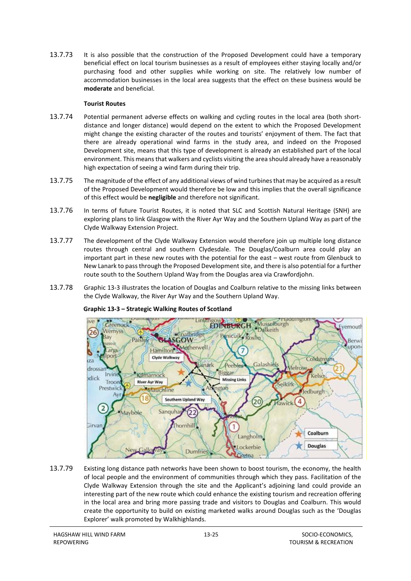13.7.73 It is also possible that the construction of the Proposed Development could have a temporary beneficial effect on local tourism businesses as a result of employees either staying locally and/or purchasing food and other supplies while working on site. The relatively low number of accommodation businesses in the local area suggests that the effect on these business would be **moderate** and beneficial.

#### **Tourist Routes**

- 13.7.74 Potential permanent adverse effects on walking and cycling routes in the local area (both shortdistance and longer distance) would depend on the extent to which the Proposed Development might change the existing character of the routes and tourists' enjoyment of them. The fact that there are already operational wind farms in the study area, and indeed on the Proposed Development site, means that this type of development is already an established part of the local environment. This means that walkers and cyclists visiting the area should already have a reasonably high expectation of seeing a wind farm during their trip.
- 13.7.75 The magnitude of the effect of any additional views of wind turbines that may be acquired as a result of the Proposed Development would therefore be low and this implies that the overall significance of this effect would be **negligible** and therefore not significant.
- 13.7.76 In terms of future Tourist Routes, it is noted that SLC and Scottish Natural Heritage (SNH) are exploring plans to link Glasgow with the River Ayr Way and the Southern Upland Way as part of the Clyde Walkway Extension Project.
- 13.7.77 The development of the Clyde Walkway Extension would therefore join up multiple long distance routes through central and southern Clydesdale. The Douglas/Coalburn area could play an important part in these new routes with the potential for the east – west route from Glenbuck to New Lanark to pass through the Proposed Development site, and there is also potential for a further route south to the Southern Upland Way from the Douglas area via Crawfordjohn.
- 13.7.78 Graphic 13-3 illustrates the location of Douglas and Coalburn relative to the missing links between the Clyde Walkway, the River Ayr Way and the Southern Upland Way.



#### **Graphic 13-3 – Strategic Walking Routes of Scotland**

13.7.79 Existing long distance path networks have been shown to boost tourism, the economy, the health of local people and the environment of communities through which they pass. Facilitation of the Clyde Walkway Extension through the site and the Applicant's adjoining land could provide an interesting part of the new route which could enhance the existing tourism and recreation offering in the local area and bring more passing trade and visitors to Douglas and Coalburn. This would create the opportunity to build on existing marketed walks around Douglas such as the 'Douglas Explorer' walk promoted by Walkhighlands.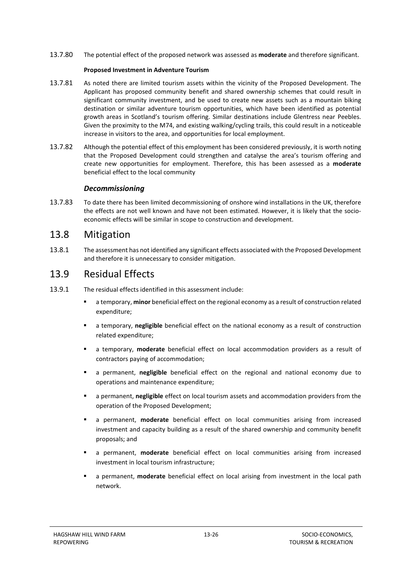13.7.80 The potential effect of the proposed network was assessed as **moderate** and therefore significant.

#### **Proposed Investment in Adventure Tourism**

- 13.7.81 As noted there are limited tourism assets within the vicinity of the Proposed Development. The Applicant has proposed community benefit and shared ownership schemes that could result in significant community investment, and be used to create new assets such as a mountain biking destination or similar adventure tourism opportunities, which have been identified as potential growth areas in Scotland's tourism offering. Similar destinations include Glentress near Peebles. Given the proximity to the M74, and existing walking/cycling trails, this could result in a noticeable increase in visitors to the area, and opportunities for local employment.
- 13.7.82 Although the potential effect of this employment has been considered previously, it is worth noting that the Proposed Development could strengthen and catalyse the area's tourism offering and create new opportunities for employment. Therefore, this has been assessed as a **moderate** beneficial effect to the local community

### <span id="page-27-2"></span>*Decommissioning*

13.7.83 To date there has been limited decommissioning of onshore wind installations in the UK, therefore the effects are not well known and have not been estimated. However, it is likely that the socioeconomic effects will be similar in scope to construction and development.

## <span id="page-27-0"></span>13.8 Mitigation

13.8.1 The assessment has not identified any significant effects associated with the Proposed Development and therefore it is unnecessary to consider mitigation.

## <span id="page-27-1"></span>13.9 Residual Effects

- <span id="page-27-3"></span>13.9.1 The residual effects identified in this assessment include:
	- a temporary, **minor** beneficial effect on the regional economy as a result of construction related expenditure;
	- a temporary, **negligible** beneficial effect on the national economy as a result of construction related expenditure;
	- a temporary, **moderate** beneficial effect on local accommodation providers as a result of contractors paying of accommodation;
	- a permanent, **negligible** beneficial effect on the regional and national economy due to operations and maintenance expenditure;
	- a permanent, **negligible** effect on local tourism assets and accommodation providers from the operation of the Proposed Development;
	- a permanent, **moderate** beneficial effect on local communities arising from increased investment and capacity building as a result of the shared ownership and community benefit proposals; and
	- a permanent, **moderate** beneficial effect on local communities arising from increased investment in local tourism infrastructure;
	- a permanent, **moderate** beneficial effect on local arising from investment in the local path network.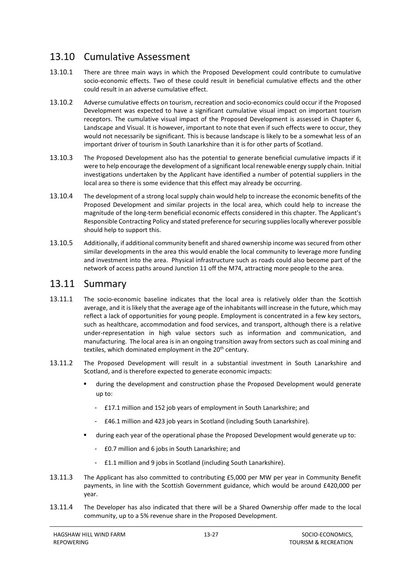## <span id="page-28-0"></span>13.10 Cumulative Assessment

- 13.10.1 There are three main ways in which the Proposed Development could contribute to cumulative socio-economic effects. Two of these could result in beneficial cumulative effects and the other could result in an adverse cumulative effect.
- 13.10.2 Adverse cumulative effects on tourism, recreation and socio-economics could occur if the Proposed Development was expected to have a significant cumulative visual impact on important tourism receptors. The cumulative visual impact of the Proposed Development is assessed in Chapter 6, Landscape and Visual. It is however, important to note that even if such effects were to occur, they would not necessarily be significant. This is because landscape is likely to be a somewhat less of an important driver of tourism in South Lanarkshire than it is for other parts of Scotland.
- 13.10.3 The Proposed Development also has the potential to generate beneficial cumulative impacts if it were to help encourage the development of a significant local renewable energy supply chain. Initial investigations undertaken by the Applicant have identified a number of potential suppliers in the local area so there is some evidence that this effect may already be occurring.
- 13.10.4 The development of a strong local supply chain would help to increase the economic benefits of the Proposed Development and similar projects in the local area, which could help to increase the magnitude of the long-term beneficial economic effects considered in this chapter. The Applicant's Responsible Contracting Policy and stated preference for securing supplies locally wherever possible should help to support this.
- 13.10.5 Additionally, if additional community benefit and shared ownership income was secured from other similar developments in the area this would enable the local community to leverage more funding and investment into the area. Physical infrastructure such as roads could also become part of the network of access paths around Junction 11 off the M74, attracting more people to the area.

## <span id="page-28-1"></span>13.11 Summary

- 13.11.1 The socio-economic baseline indicates that the local area is relatively older than the Scottish average, and it is likely that the average age of the inhabitants will increase in the future, which may reflect a lack of opportunities for young people. Employment is concentrated in a few key sectors, such as healthcare, accommodation and food services, and transport, although there is a relative under-representation in high value sectors such as information and communication, and manufacturing. The local area is in an ongoing transition away from sectors such as coal mining and textiles, which dominated employment in the 20<sup>th</sup> century.
- 13.11.2 The Proposed Development will result in a substantial investment in South Lanarkshire and Scotland, and is therefore expected to generate economic impacts:
	- during the development and construction phase the Proposed Development would generate up to:
		- £17.1 million and 152 job years of employment in South Lanarkshire; and
		- £46.1 million and 423 job years in Scotland (including South Lanarkshire).
	- during each year of the operational phase the Proposed Development would generate up to:
		- £0.7 million and 6 jobs in South Lanarkshire; and
		- £1.1 million and 9 jobs in Scotland (including South Lanarkshire).
- 13.11.3 The Applicant has also committed to contributing £5,000 per MW per year in Community Benefit payments, in line with the Scottish Government guidance, which would be around £420,000 per year.
- 13.11.4 The Developer has also indicated that there will be a Shared Ownership offer made to the local community, up to a 5% revenue share in the Proposed Development.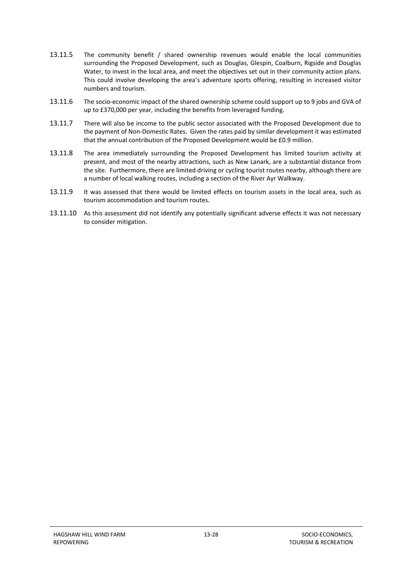- 13.11.5 The community benefit / shared ownership revenues would enable the local communities surrounding the Proposed Development, such as Douglas, Glespin, Coalburn, Rigside and Douglas Water, to invest in the local area, and meet the objectives set out in their community action plans. This could involve developing the area's adventure sports offering, resulting in increased visitor numbers and tourism.
- 13.11.6 The socio-economic impact of the shared ownership scheme could support up to 9 jobs and GVA of up to £370,000 per year, including the benefits from leveraged funding.
- 13.11.7 There will also be income to the public sector associated with the Proposed Development due to the payment of Non-Domestic Rates. Given the rates paid by similar development it was estimated that the annual contribution of the Proposed Development would be £0.9 million.
- 13.11.8 The area immediately surrounding the Proposed Development has limited tourism activity at present, and most of the nearby attractions, such as New Lanark, are a substantial distance from the site. Furthermore, there are limited driving or cycling tourist routes nearby, although there are a number of local walking routes, including a section of the River Ayr Walkway.
- 13.11.9 It was assessed that there would be limited effects on tourism assets in the local area, such as tourism accommodation and tourism routes.
- 13.11.10 As this assessment did not identify any potentially significant adverse effects it was not necessary to consider mitigation.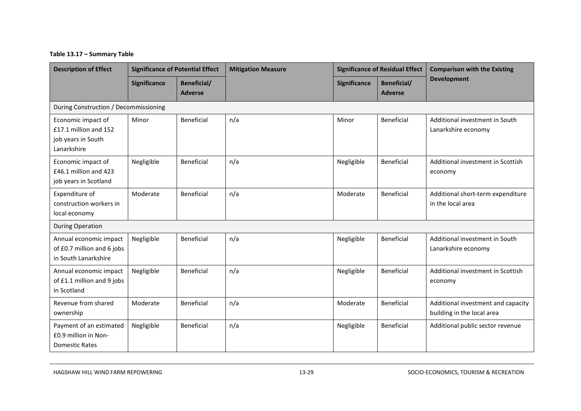#### **Table 13.17 – Summary Table**

| <b>Description of Effect</b>                                                     | <b>Significance of Potential Effect</b> |                                      | <b>Mitigation Measure</b> | <b>Significance of Residual Effect</b> |                               | <b>Comparison with the Existing</b>                              |
|----------------------------------------------------------------------------------|-----------------------------------------|--------------------------------------|---------------------------|----------------------------------------|-------------------------------|------------------------------------------------------------------|
|                                                                                  | <b>Significance</b>                     | <b>Beneficial/</b><br><b>Adverse</b> |                           | <b>Significance</b>                    | Beneficial/<br><b>Adverse</b> | <b>Development</b>                                               |
| During Construction / Decommissioning                                            |                                         |                                      |                           |                                        |                               |                                                                  |
| Economic impact of<br>£17.1 million and 152<br>job years in South<br>Lanarkshire | Minor                                   | Beneficial                           | n/a                       | Minor                                  | Beneficial                    | Additional investment in South<br>Lanarkshire economy            |
| Economic impact of<br>£46.1 million and 423<br>job years in Scotland             | Negligible                              | Beneficial                           | n/a                       | Negligible                             | Beneficial                    | Additional investment in Scottish<br>economy                     |
| Expenditure of<br>construction workers in<br>local economy                       | Moderate                                | Beneficial                           | n/a                       | Moderate                               | Beneficial                    | Additional short-term expenditure<br>in the local area           |
| <b>During Operation</b>                                                          |                                         |                                      |                           |                                        |                               |                                                                  |
| Annual economic impact<br>of £0.7 million and 6 jobs<br>in South Lanarkshire     | Negligible                              | Beneficial                           | n/a                       | Negligible                             | Beneficial                    | Additional investment in South<br>Lanarkshire economy            |
| Annual economic impact<br>of £1.1 million and 9 jobs<br>in Scotland              | Negligible                              | Beneficial                           | n/a                       | Negligible                             | Beneficial                    | Additional investment in Scottish<br>economy                     |
| Revenue from shared<br>ownership                                                 | Moderate                                | Beneficial                           | n/a                       | Moderate                               | Beneficial                    | Additional investment and capacity<br>building in the local area |
| Payment of an estimated<br>£0.9 million in Non-<br><b>Domestic Rates</b>         | Negligible                              | Beneficial                           | n/a                       | Negligible                             | Beneficial                    | Additional public sector revenue                                 |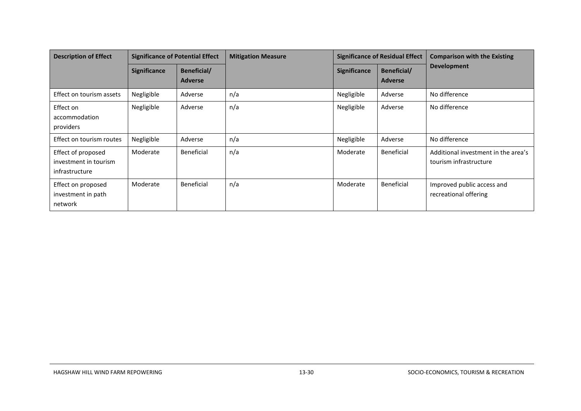| <b>Description of Effect</b>                                  | <b>Significance of Potential Effect</b> |                               | <b>Mitigation Measure</b> | <b>Significance of Residual Effect</b> |                               | <b>Comparison with the Existing</b>                           |  |
|---------------------------------------------------------------|-----------------------------------------|-------------------------------|---------------------------|----------------------------------------|-------------------------------|---------------------------------------------------------------|--|
|                                                               | <b>Significance</b>                     | Beneficial/<br><b>Adverse</b> |                           | <b>Significance</b>                    | Beneficial/<br><b>Adverse</b> | <b>Development</b>                                            |  |
| Effect on tourism assets                                      | Negligible                              | Adverse                       | n/a                       | Negligible                             | Adverse                       | No difference                                                 |  |
| Effect on<br>accommodation<br>providers                       | Negligible                              | Adverse                       | n/a                       | Negligible                             | Adverse                       | No difference                                                 |  |
| Effect on tourism routes                                      | Negligible                              | Adverse                       | n/a                       | Negligible                             | Adverse                       | No difference                                                 |  |
| Effect of proposed<br>investment in tourism<br>infrastructure | Moderate                                | Beneficial                    | n/a                       | Moderate                               | Beneficial                    | Additional investment in the area's<br>tourism infrastructure |  |
| Effect on proposed<br>investment in path<br>network           | Moderate                                | Beneficial                    | n/a                       | Moderate                               | Beneficial                    | Improved public access and<br>recreational offering           |  |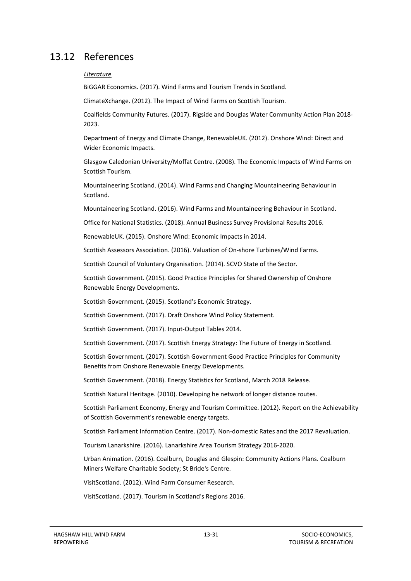## <span id="page-32-0"></span>13.12 References

#### *Literature*

BiGGAR Economics. (2017). Wind Farms and Tourism Trends in Scotland.

ClimateXchange. (2012). The Impact of Wind Farms on Scottish Tourism.

Coalfields Community Futures. (2017). Rigside and Douglas Water Community Action Plan 2018- 2023.

Department of Energy and Climate Change, RenewableUK. (2012). Onshore Wind: Direct and Wider Economic Impacts.

Glasgow Caledonian University/Moffat Centre. (2008). The Economic Impacts of Wind Farms on Scottish Tourism.

Mountaineering Scotland. (2014). Wind Farms and Changing Mountaineering Behaviour in Scotland.

Mountaineering Scotland. (2016). Wind Farms and Mountaineering Behaviour in Scotland.

Office for National Statistics. (2018). Annual Business Survey Provisional Results 2016.

RenewableUK. (2015). Onshore Wind: Economic Impacts in 2014.

Scottish Assessors Association. (2016). Valuation of On-shore Turbines/Wind Farms.

Scottish Council of Voluntary Organisation. (2014). SCVO State of the Sector.

Scottish Government. (2015). Good Practice Principles for Shared Ownership of Onshore Renewable Energy Developments.

Scottish Government. (2015). Scotland's Economic Strategy.

Scottish Government. (2017). Draft Onshore Wind Policy Statement.

Scottish Government. (2017). Input-Output Tables 2014.

Scottish Government. (2017). Scottish Energy Strategy: The Future of Energy in Scotland.

Scottish Government. (2017). Scottish Government Good Practice Principles for Community Benefits from Onshore Renewable Energy Developments.

Scottish Government. (2018). Energy Statistics for Scotland, March 2018 Release.

Scottish Natural Heritage. (2010). Developing he network of longer distance routes.

Scottish Parliament Economy, Energy and Tourism Committee. (2012). Report on the Achievability of Scottish Government's renewable energy targets.

Scottish Parliament Information Centre. (2017). Non-domestic Rates and the 2017 Revaluation.

Tourism Lanarkshire. (2016). Lanarkshire Area Tourism Strategy 2016-2020.

Urban Animation. (2016). Coalburn, Douglas and Glespin: Community Actions Plans. Coalburn Miners Welfare Charitable Society; St Bride's Centre.

VisitScotland. (2012). Wind Farm Consumer Research.

VisitScotland. (2017). Tourism in Scotland's Regions 2016.